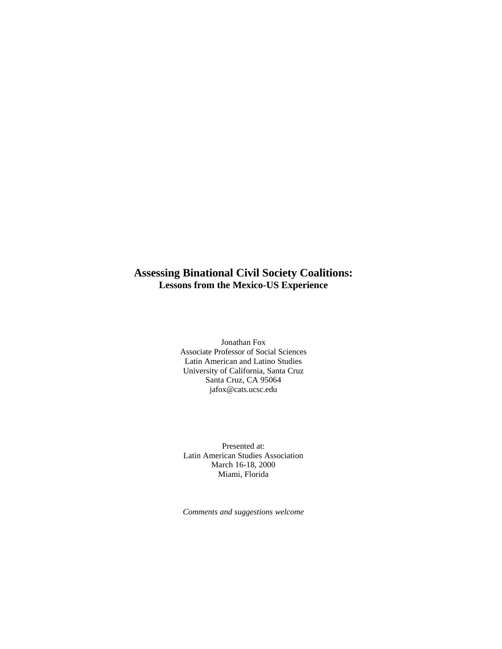# **Assessing Binational Civil Society Coalitions: Lessons from the Mexico-US Experience**

Jonathan Fox Associate Professor of Social Sciences Latin American and Latino Studies University of California, Santa Cruz Santa Cruz, CA 95064 jafox@cats.ucsc.edu

Presented at: Latin American Studies Association March 16-18, 2000 Miami, Florida

*Comments and suggestions welcome*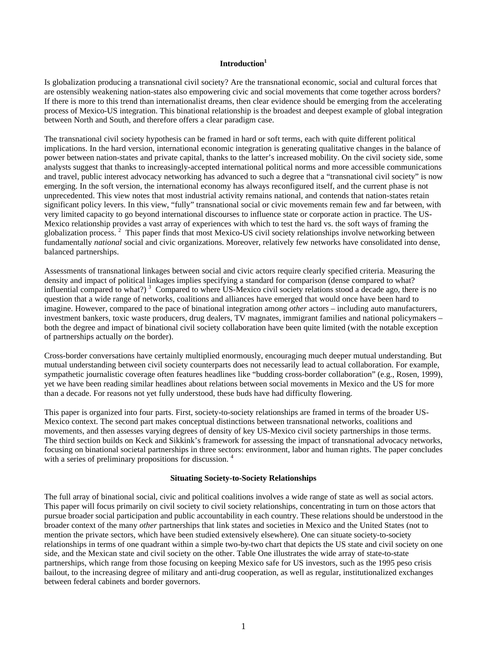## **Introduction<sup>1</sup>**

Is globalization producing a transnational civil society? Are the transnational economic, social and cultural forces that are ostensibly weakening nation-states also empowering civic and social movements that come together across borders? If there is more to this trend than internationalist dreams, then clear evidence should be emerging from the accelerating process of Mexico-US integration. This binational relationship is the broadest and deepest example of global integration between North and South, and therefore offers a clear paradigm case.

The transnational civil society hypothesis can be framed in hard or soft terms, each with quite different political implications. In the hard version, international economic integration is generating qualitative changes in the balance of power between nation-states and private capital, thanks to the latter's increased mobility. On the civil society side, some analysts suggest that thanks to increasingly-accepted international political norms and more accessible communications and travel, public interest advocacy networking has advanced to such a degree that a "transnational civil society" is now emerging. In the soft version, the international economy has always reconfigured itself, and the current phase is not unprecedented. This view notes that most industrial activity remains national, and contends that nation-states retain significant policy levers. In this view, "fully" transnational social or civic movements remain few and far between, with very limited capacity to go beyond international discourses to influence state or corporate action in practice. The US-Mexico relationship provides a vast array of experiences with which to test the hard vs. the soft ways of framing the globalization process.<sup>2</sup> This paper finds that most Mexico-US civil society relationships involve networking between fundamentally *national* social and civic organizations. Moreover, relatively few networks have consolidated into dense, balanced partnerships.

Assessments of transnational linkages between social and civic actors require clearly specified criteria. Measuring the density and impact of political linkages implies specifying a standard for comparison (dense compared to what? influential compared to what?)<sup>3</sup> Compared to where US-Mexico civil society relations stood a decade ago, there is no question that a wide range of networks, coalitions and alliances have emerged that would once have been hard to imagine. However, compared to the pace of binational integration among *other* actors – including auto manufacturers, investment bankers, toxic waste producers, drug dealers, TV magnates, immigrant families and national policymakers – both the degree and impact of binational civil society collaboration have been quite limited (with the notable exception of partnerships actually *on* the border).

Cross-border conversations have certainly multiplied enormously, encouraging much deeper mutual understanding. But mutual understanding between civil society counterparts does not necessarily lead to actual collaboration. For example, sympathetic journalistic coverage often features headlines like "budding cross-border collaboration" (e.g., Rosen, 1999), yet we have been reading similar headlines about relations between social movements in Mexico and the US for more than a decade. For reasons not yet fully understood, these buds have had difficulty flowering.

This paper is organized into four parts. First, society-to-society relationships are framed in terms of the broader US-Mexico context. The second part makes conceptual distinctions between transnational networks, coalitions and movements, and then assesses varying degrees of density of key US-Mexico civil society partnerships in those terms. The third section builds on Keck and Sikkink's framework for assessing the impact of transnational advocacy networks, focusing on binational societal partnerships in three sectors: environment, labor and human rights. The paper concludes with a series of preliminary propositions for discussion.<sup>4</sup>

#### **Situating Society-to-Society Relationships**

The full array of binational social, civic and political coalitions involves a wide range of state as well as social actors. This paper will focus primarily on civil society to civil society relationships, concentrating in turn on those actors that pursue broader social participation and public accountability in each country. These relations should be understood in the broader context of the many *other* partnerships that link states and societies in Mexico and the United States (not to mention the private sectors, which have been studied extensively elsewhere). One can situate society-to-society relationships in terms of one quadrant within a simple two-by-two chart that depicts the US state and civil society on one side, and the Mexican state and civil society on the other. Table One illustrates the wide array of state-to-state partnerships, which range from those focusing on keeping Mexico safe for US investors, such as the 1995 peso crisis bailout, to the increasing degree of military and anti-drug cooperation, as well as regular, institutionalized exchanges between federal cabinets and border governors.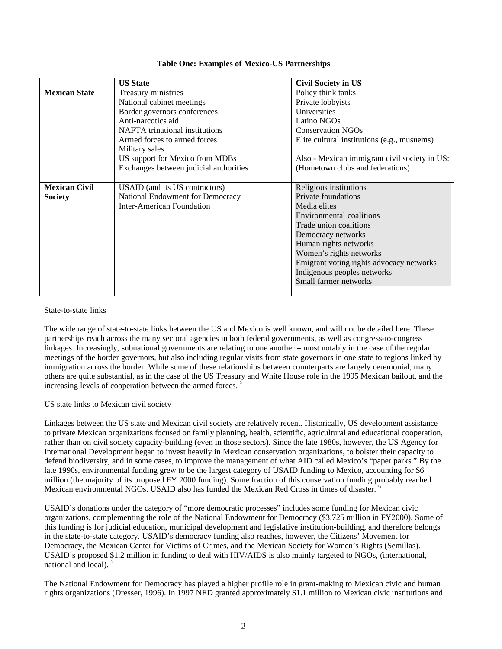|                      | <b>US State</b>                        | <b>Civil Society in US</b>                    |  |
|----------------------|----------------------------------------|-----------------------------------------------|--|
| <b>Mexican State</b> | Treasury ministries                    | Policy think tanks                            |  |
|                      | National cabinet meetings              | Private lobbyists                             |  |
|                      | Border governors conferences           | Universities                                  |  |
|                      | Anti-narcotics aid                     | Latino NGOs                                   |  |
|                      | <b>NAFTA</b> trinational institutions  | <b>Conservation NGOs</b>                      |  |
|                      | Armed forces to armed forces           | Elite cultural institutions (e.g., musuems)   |  |
|                      | Military sales                         |                                               |  |
|                      | US support for Mexico from MDBs        | Also - Mexican immigrant civil society in US: |  |
|                      | Exchanges between judicial authorities | (Hometown clubs and federations)              |  |
|                      |                                        |                                               |  |
| <b>Mexican Civil</b> | USAID (and its US contractors)         | Religious institutions                        |  |
| <b>Society</b>       | National Endowment for Democracy       | Private foundations                           |  |
|                      | Inter-American Foundation              | Media elites                                  |  |
|                      |                                        | Environmental coalitions                      |  |
|                      |                                        | Trade union coalitions                        |  |
|                      |                                        | Democracy networks                            |  |
|                      |                                        | Human rights networks                         |  |
|                      |                                        | Women's rights networks                       |  |
|                      |                                        | Emigrant voting rights advocacy networks      |  |
|                      |                                        | Indigenous peoples networks                   |  |
|                      |                                        | Small farmer networks                         |  |
|                      |                                        |                                               |  |

## **Table One: Examples of Mexico-US Partnerships**

## State-to-state links

The wide range of state-to-state links between the US and Mexico is well known, and will not be detailed here. These partnerships reach across the many sectoral agencies in both federal governments, as well as congress-to-congress linkages. Increasingly, subnational governments are relating to one another – most notably in the case of the regular meetings of the border governors, but also including regular visits from state governors in one state to regions linked by immigration across the border. While some of these relationships between counterparts are largely ceremonial, many others are quite substantial, as in the case of the US Treasury and White House role in the 1995 Mexican bailout, and the increasing levels of cooperation between the armed forces.

## US state links to Mexican civil society

Linkages between the US state and Mexican civil society are relatively recent. Historically, US development assistance to private Mexican organizations focused on family planning, health, scientific, agricultural and educational cooperation, rather than on civil society capacity-building (even in those sectors). Since the late 1980s, however, the US Agency for International Development began to invest heavily in Mexican conservation organizations, to bolster their capacity to defend biodiversity, and in some cases, to improve the management of what AID called Mexico's "paper parks." By the late 1990s, environmental funding grew to be the largest category of USAID funding to Mexico, accounting for \$6 million (the majority of its proposed FY 2000 funding). Some fraction of this conservation funding probably reached Mexican environmental NGOs. USAID also has funded the Mexican Red Cross in times of disaster.<sup>6</sup>

USAID's donations under the category of "more democratic processes" includes some funding for Mexican civic organizations, complementing the role of the National Endowment for Democracy (\$3.725 million in FY2000). Some of this funding is for judicial education, municipal development and legislative institution-building, and therefore belongs in the state-to-state category. USAID's democracy funding also reaches, however, the Citizens' Movement for Democracy, the Mexican Center for Victims of Crimes, and the Mexican Society for Women's Rights (Semillas). USAID's proposed \$1.2 million in funding to deal with HIV/AIDS is also mainly targeted to NGOs, (international, national and local).

The National Endowment for Democracy has played a higher profile role in grant-making to Mexican civic and human rights organizations (Dresser, 1996). In 1997 NED granted approximately \$1.1 million to Mexican civic institutions and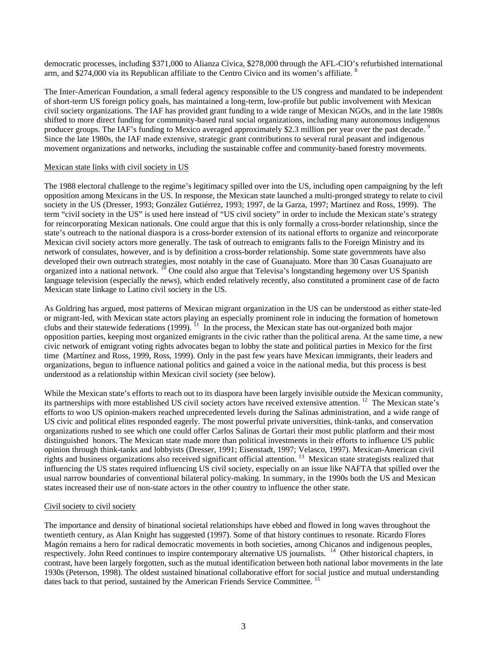democratic processes, including \$371,000 to Alianza Cívica, \$278,000 through the AFL-CIO's refurbished international arm, and \$274,000 via its Republican affiliate to the Centro Cívico and its women's affiliate. <sup>8</sup>

The Inter-American Foundation, a small federal agency responsible to the US congress and mandated to be independent of short-term US foreign policy goals, has maintained a long-term, low-profile but public involvement with Mexican civil society organizations. The IAF has provided grant funding to a wide range of Mexican NGOs, and in the late 1980s shifted to more direct funding for community-based rural social organizations, including many autonomous indigenous producer groups. The IAF's funding to Mexico averaged approximately \$2.3 million per year over the past decade. Since the late 1980s, the IAF made extensive, strategic grant contributions to several rural peasant and indigenous movement organizations and networks, including the sustainable coffee and community-based forestry movements.

## Mexican state links with civil society in US

The 1988 electoral challenge to the regime's legitimacy spilled over into the US, including open campaigning by the left opposition among Mexicans in the US. In response, the Mexican state launched a multi-pronged strategy to relate to civil society in the US (Dresser, 1993; González Gutiérrez, 1993; 1997, de la Garza, 1997; Martínez and Ross, 1999). The term "civil society in the US" is used here instead of "US civil society" in order to include the Mexican state's strategy for reincorporating Mexican nationals. One could argue that this is only formally a cross-border relationship, since the state's outreach to the national diaspora is a cross-border extension of its national efforts to organize and reincorporate Mexican civil society actors more generally. The task of outreach to emigrants falls to the Foreign Ministry and its network of consulates, however, and is by definition a cross-border relationship. Some state governments have also developed their own outreach strategies, most notably in the case of Guanajuato. More than 30 Casas Guanajuato are organized into a national network. <sup>10</sup> One could also argue that Televisa's longstanding hegemony over US Spanish language television (especially the news), which ended relatively recently, also constituted a prominent case of de facto Mexican state linkage to Latino civil society in the US.

As Goldring has argued, most patterns of Mexican migrant organization in the US can be understood as either state-led or migrant-led, with Mexican state actors playing an especially prominent role in inducing the formation of hometown clubs and their statewide federations (1999).<sup>11</sup> In the process, the Mexican state has out-organized both major opposition parties, keeping most organized emigrants in the civic rather than the political arena. At the same time, a new civic network of emigrant voting rights advocates began to lobby the state and political parties in Mexico for the first time (Martínez and Ross, 1999, Ross, 1999). Only in the past few years have Mexican immigrants, their leaders and organizations, begun to influence national politics and gained a voice in the national media, but this process is best understood as a relationship within Mexican civil society (see below).

While the Mexican state's efforts to reach out to its diaspora have been largely invisible outside the Mexican community, its partnerships with more established US civil society actors have received extensive attention. <sup>12</sup> The Mexican state's efforts to woo US opinion-makers reached unprecedented levels during the Salinas administration, and a wide range of US civic and political elites responded eagerly. The most powerful private universities, think-tanks, and conservation organizations rushed to see which one could offer Carlos Salinas de Gortari their most public platform and their most distinguished honors. The Mexican state made more than political investments in their efforts to influence US public opinion through think-tanks and lobbyists (Dresser, 1991; Eisenstadt, 1997; Velasco, 1997). Mexican-American civil rights and business organizations also received significant official attention.<sup>13</sup> Mexican state strategists realized that rights and business organizations also received significant official attention.<sup>13</sup> Mexican state influencing the US states required influencing US civil society, especially on an issue like NAFTA that spilled over the usual narrow boundaries of conventional bilateral policy-making. In summary, in the 1990s both the US and Mexican states increased their use of non-state actors in the other country to influence the other state.

## Civil society to civil society

The importance and density of binational societal relationships have ebbed and flowed in long waves throughout the twentieth century, as Alan Knight has suggested (1997). Some of that history continues to resonate. Ricardo Flores Magón remains a hero for radical democratic movements in both societies, among Chicanos and indigenous peoples, respectively. John Reed continues to inspire contemporary alternative US journalists. <sup>14</sup> Other historical chapters, in contrast, have been largely forgotten, such as the mutual identification between both national labor movements in the late 1930s (Peterson, 1998). The oldest sustained binational collaborative effort for social justice and mutual understanding dates back to that period, sustained by the American Friends Service Committee.<sup>15</sup>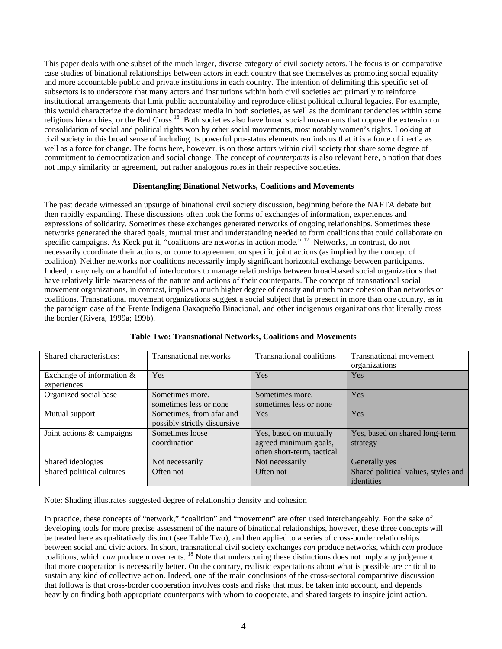This paper deals with one subset of the much larger, diverse category of civil society actors. The focus is on comparative case studies of binational relationships between actors in each country that see themselves as promoting social equality and more accountable public and private institutions in each country. The intention of delimiting this specific set of subsectors is to underscore that many actors and institutions within both civil societies act primarily to reinforce institutional arrangements that limit public accountability and reproduce elitist political cultural legacies. For example, this would characterize the dominant broadcast media in both societies, as well as the dominant tendencies within some religious hierarchies, or the Red Cross.<sup>16</sup> Both societies also have broad social movements that oppose the extension or consolidation of social and political rights won by other social movements, most notably women's rights. Looking at civil society in this broad sense of including its powerful pro-status elements reminds us that it is a force of inertia as well as a force for change. The focus here, however, is on those actors within civil society that share some degree of commitment to democratization and social change. The concept of *counterparts* is also relevant here, a notion that does not imply similarity or agreement, but rather analogous roles in their respective societies.

## **Disentangling Binational Networks, Coalitions and Movements**

The past decade witnessed an upsurge of binational civil society discussion, beginning before the NAFTA debate but then rapidly expanding. These discussions often took the forms of exchanges of information, experiences and expressions of solidarity. Sometimes these exchanges generated networks of ongoing relationships. Sometimes these networks generated the shared goals, mutual trust and understanding needed to form coalition*s* that could collaborate on specific campaigns. As Keck put it, "coalitions are networks in action mode." <sup>17</sup> Networks, in contrast, do not necessarily coordinate their actions, or come to agreement on specific joint actions (as implied by the concept of coalition). Neither networks nor coalitions necessarily imply significant horizontal exchange between participants. Indeed, many rely on a handful of interlocutors to manage relationships between broad-based social organizations that have relatively little awareness of the nature and actions of their counterparts. The concept of transnational social movement organizations, in contrast, implies a much higher degree of density and much more cohesion than networks or coalitions. Transnational movement organizations suggest a social subject that is present in more than one country, as in the paradigm case of the Frente Indígena Oaxaqueño Binacional, and other indigenous organizations that literally cross the border (Rivera, 1999a; 199b).

| Shared characteristics:      | <b>Transnational networks</b> | Transnational coalitions   | <b>Transnational movement</b>       |
|------------------------------|-------------------------------|----------------------------|-------------------------------------|
|                              |                               |                            | organizations                       |
| Exchange of information $\&$ | Yes                           | Yes                        | <b>Yes</b>                          |
| experiences                  |                               |                            |                                     |
| Organized social base        | Sometimes more,               | Sometimes more,            | Yes                                 |
|                              | sometimes less or none        | sometimes less or none     |                                     |
| Mutual support               | Sometimes, from afar and      | <b>Yes</b>                 | <b>Yes</b>                          |
|                              | possibly strictly discursive  |                            |                                     |
| Joint actions & campaigns    | Sometimes loose               | Yes, based on mutually     | Yes, based on shared long-term      |
|                              | coordination                  | agreed minimum goals,      | strategy                            |
|                              |                               | often short-term, tactical |                                     |
| Shared ideologies            | Not necessarily               | Not necessarily            | Generally yes                       |
| Shared political cultures    | Often not                     | Often not                  | Shared political values, styles and |
|                              |                               |                            | identities                          |

## **Table Two: Transnational Networks, Coalitions and Movements**

Note: Shading illustrates suggested degree of relationship density and cohesion

In practice, these concepts of "network," "coalition" and "movement" are often used interchangeably. For the sake of developing tools for more precise assessment of the nature of binational relationships, however, these three concepts will be treated here as qualitatively distinct (see Table Two), and then applied to a series of cross-border relationships between social and civic actors. In short, transnational civil society exchanges *can* produce networks, which *can* produce coalitions, which *can* produce movements. <sup>18</sup> Note that underscoring these distinctions does not imply any judgement that more cooperation is necessarily better. On the contrary, realistic expectations about what is possible are critical to sustain any kind of collective action. Indeed, one of the main conclusions of the cross-sectoral comparative discussion that follows is that cross-border cooperation involves costs and risks that must be taken into account, and depends heavily on finding both appropriate counterparts with whom to cooperate, and shared targets to inspire joint action.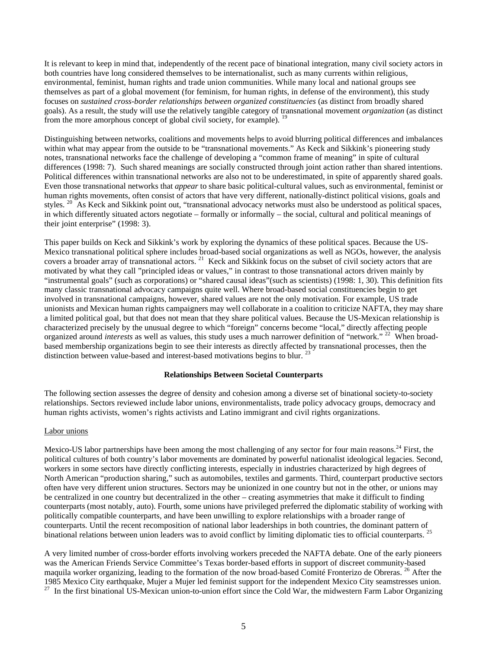It is relevant to keep in mind that, independently of the recent pace of binational integration, many civil society actors in both countries have long considered themselves to be internationalist, such as many currents within religious, environmental, feminist, human rights and trade union communities. While many local and national groups see themselves as part of a global movement (for feminism, for human rights, in defense of the environment), this study focuses on *sustained cross-border relationships between organized constituencies* (as distinct from broadly shared goals). As a result, the study will use the relatively tangible category of transnational movement *organization* (as distinct from the more amorphous concept of global civil society, for example). <sup>19</sup>

Distinguishing between networks, coalitions and movements helps to avoid blurring political differences and imbalances within what may appear from the outside to be "transnational movements." As Keck and Sikkink's pioneering study notes, transnational networks face the challenge of developing a "common frame of meaning" in spite of cultural differences (1998: 7). Such shared meanings are socially constructed through joint action rather than shared intentions. Political differences within transnational networks are also not to be underestimated, in spite of apparently shared goals. Even those transnational networks that *appear* to share basic political-cultural values, such as environmental, feminist or human rights movements, often consist of actors that have very different, nationally-distinct political visions, goals and styles.  $20$  As Keck and Sikkink point out, "transnational advocacy networks must also be understood as political spaces, in which differently situated actors negotiate – formally or informally – the social, cultural and political meanings of their joint enterprise" (1998: 3).

This paper builds on Keck and Sikkink's work by exploring the dynamics of these political spaces. Because the US-Mexico transnational political sphere includes broad-based social organizations as well as NGOs, however, the analysis covers a broader array of transnational actors.<sup>21</sup> Keck and Sikkink focus on the subset of civil society actors that are motivated by what they call "principled ideas or values," in contrast to those transnational actors driven mainly by "instrumental goals" (such as corporations) or "shared causal ideas"(such as scientists) (1998: 1, 30). This definition fits many classic transnational advocacy campaigns quite well. Where broad-based social constituencies begin to get involved in transnational campaigns, however, shared values are not the only motivation. For example, US trade unionists and Mexican human rights campaigners may well collaborate in a coalition to criticize NAFTA, they may share a limited political goal, but that does not mean that they share political values. Because the US-Mexican relationship is characterized precisely by the unusual degree to which "foreign" concerns become "local," directly affecting people organized around *interests* as well as values, this study uses a much narrower definition of "network." <sup>22</sup> When broadbased membership organizations begin to see their interests as directly affected by transnational processes, then the distinction between value-based and interest-based motivations begins to blur.<sup>2</sup>

#### **Relationships Between Societal Counterparts**

The following section assesses the degree of density and cohesion among a diverse set of binational society-to-society relationships. Sectors reviewed include labor unions, environmentalists, trade policy advocacy groups, democracy and human rights activists, women's rights activists and Latino immigrant and civil rights organizations.

#### Labor unions

Mexico-US labor partnerships have been among the most challenging of any sector for four main reasons.<sup>24</sup> First, the political cultures of both country's labor movements are dominated by powerful nationalist ideological legacies. Second, workers in some sectors have directly conflicting interests, especially in industries characterized by high degrees of North American "production sharing," such as automobiles, textiles and garments. Third, counterpart productive sectors often have very different union structures. Sectors may be unionized in one country but not in the other, or unions may be centralized in one country but decentralized in the other – creating asymmetries that make it difficult to finding counterparts (most notably, auto). Fourth, some unions have privileged preferred the diplomatic stability of working with politically compatible counterparts, and have been unwilling to explore relationships with a broader range of counterparts. Until the recent recomposition of national labor leaderships in both countries, the dominant pattern of binational relations between union leaders was to avoid conflict by limiting diplomatic ties to official counterparts. <sup>25</sup>

A very limited number of cross-border efforts involving workers preceded the NAFTA debate. One of the early pioneers was the American Friends Service Committee's Texas border-based efforts in support of discreet community-based maquila worker organizing, leading to the formation of the now broad-based Comité Fronterizo de Obreras.<sup>26</sup> After the 1985 Mexico City earthquake, Mujer a Mujer led feminist support for the independent Mexico City seamstresses union. <sup>27</sup> In the first binational US-Mexican union-to-union effort since the Cold War, the midwestern Farm Labor Organizing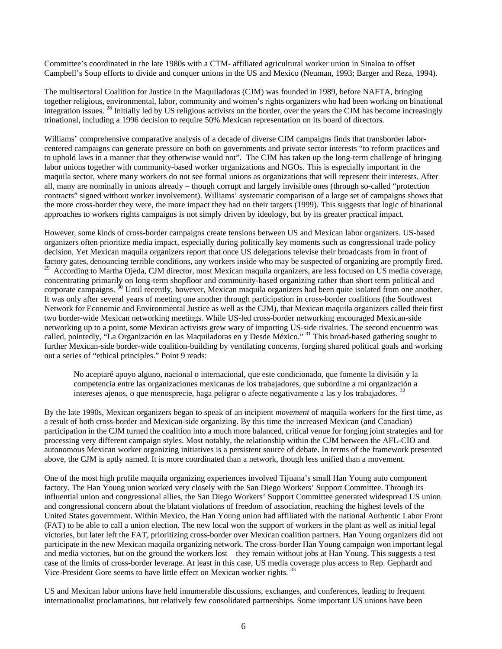Committee's coordinated in the late 1980s with a CTM- affiliated agricultural worker union in Sinaloa to offset Campbell's Soup efforts to divide and conquer unions in the US and Mexico (Neuman, 1993; Barger and Reza, 1994).

The multisectoral Coalition for Justice in the Maquiladoras (CJM) was founded in 1989, before NAFTA, bringing together religious, environmental, labor, community and women's rights organizers who had been working on binational integration issues. <sup>28</sup> Initially led by US religious activists on the border, over the years the CJM has become increasingly trinational, including a 1996 decision to require 50% Mexican representation on its board of directors.

Williams' comprehensive comparative analysis of a decade of diverse CJM campaigns finds that transborder laborcentered campaigns can generate pressure on both on governments and private sector interests "to reform practices and to uphold laws in a manner that they otherwise would not". The CJM has taken up the long-term challenge of bringing labor unions together with community-based worker organizations and NGOs. This is especially important in the maquila sector, where many workers do not see formal unions as organizations that will represent their interests. After all, many are nominally in unions already – though corrupt and largely invisible ones (through so-called "protection contracts" signed without worker involvement). Williams' systematic comparison of a large set of campaigns shows that the more cross-border they were, the more impact they had on their targets (1999). This suggests that logic of binational approaches to workers rights campaigns is not simply driven by ideology, but by its greater practical impact.

However, some kinds of cross-border campaigns create tensions between US and Mexican labor organizers. US-based organizers often prioritize media impact, especially during politically key moments such as congressional trade policy decision. Yet Mexican maquila organizers report that once US delegations televise their broadcasts from in front of factory gates, denouncing terrible conditions, any workers inside who may be suspected of organizing are promptly fired. <sup>29</sup> According to Martha Ojeda, CJM director, most Mexican maquila organizers, are less focused on US media coverage, concentrating primarily on long-term shopfloor and community-based organizing rather than short term political and corporate campaigns.<sup>30</sup> Until recently, however, Mexican maquila organizers had been quite isolated from one another. It was only after several years of meeting one another through participation in cross-border coalitions (the Southwest Network for Economic and Environmental Justice as well as the CJM), that Mexican maquila organizers called their first two border-wide Mexican networking meetings. While US-led cross-border networking encouraged Mexican-side networking up to a point, some Mexican activists grew wary of importing US-side rivalries. The second encuentro was called, pointedly, "La Organización en las Maquiladoras en y Desde México." <sup>31</sup> This broad-based gathering sought to further Mexican-side border-wide coalition-building by ventilating concerns, forging shared political goals and working out a series of "ethical principles." Point 9 reads:

No aceptaré apoyo alguno, nacional o internacional, que este condicionado, que fomente la división y la competencia entre las organizaciones mexicanas de los trabajadores, que subordine a mi organización a intereses ajenos, o que menosprecie, haga peligrar o afecte negativamente a las y los trabajadores.  $32$ 

By the late 1990s, Mexican organizers began to speak of an incipient *movement* of maquila workers for the first time, as a result of both cross-border and Mexican-side organizing. By this time the increased Mexican (and Canadian) participation in the CJM turned the coalition into a much more balanced, critical venue for forging joint strategies and for processing very different campaign styles. Most notably, the relationship within the CJM between the AFL-CIO and autonomous Mexican worker organizing initiatives is a persistent source of debate. In terms of the framework presented above, the CJM is aptly named. It is more coordinated than a network, though less unified than a movement.

One of the most high profile maquila organizing experiences involved Tijuana's small Han Young auto component factory. The Han Young union worked very closely with the San Diego Workers' Support Committee. Through its influential union and congressional allies, the San Diego Workers' Support Committee generated widespread US union and congressional concern about the blatant violations of freedom of association, reaching the highest levels of the United States government. Within Mexico, the Han Young union had affiliated with the national Authentic Labor Front (FAT) to be able to call a union election. The new local won the support of workers in the plant as well as initial legal victories, but later left the FAT, prioritizing cross-border over Mexican coalition partners. Han Young organizers did not participate in the new Mexican maquila organizing network. The cross-border Han Young campaign won important legal and media victories, but on the ground the workers lost – they remain without jobs at Han Young. This suggests a test case of the limits of cross-border leverage. At least in this case, US media coverage plus access to Rep. Gephardt and Vice-President Gore seems to have little effect on Mexican worker rights. <sup>33</sup>

US and Mexican labor unions have held innumerable discussions, exchanges, and conferences, leading to frequent internationalist proclamations, but relatively few consolidated partnerships. Some important US unions have been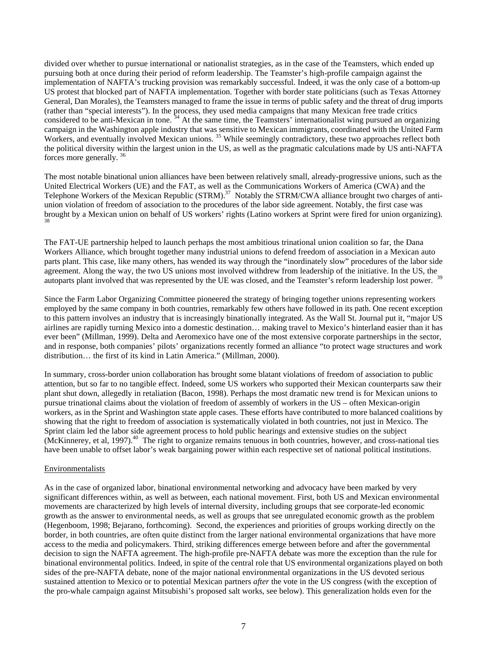divided over whether to pursue international or nationalist strategies, as in the case of the Teamsters, which ended up pursuing both at once during their period of reform leadership. The Teamster's high-profile campaign against the implementation of NAFTA's trucking provision was remarkably successful. Indeed, it was the only case of a bottom-up US protest that blocked part of NAFTA implementation. Together with border state politicians (such as Texas Attorney General, Dan Morales), the Teamsters managed to frame the issue in terms of public safety and the threat of drug imports (rather than "special interests"). In the process, they used media campaigns that many Mexican free trade critics considered to be anti-Mexican in tone.<sup>34</sup> At the same time, the Teamsters' internationalist wing pursued an organizing campaign in the Washington apple industry that was sensitive to Mexican immigrants, coordinated with the United Farm Vorkers, and eventually involved Mexican unions.<sup>35</sup> While seemingly contradictory, these two approaches reflect both the political diversity within the largest union in the US, as well as the pragmatic calculations made by US anti-NAFTA forces more generally. <sup>36</sup>

The most notable binational union alliances have been between relatively small, already-progressive unions, such as the United Electrical Workers (UE) and the FAT, as well as the Communications Workers of America (CWA) and the Telephone Workers of the Mexican Republic (STRM).<sup>37</sup> Notably the STRM/CWA alliance brought two charges of antiunion violation of freedom of association to the procedures of the labor side agreement. Notably, the first case was brought by a Mexican union on behalf of US workers' rights (Latino workers at Sprint were fired for union organizing). 38

The FAT-UE partnership helped to launch perhaps the most ambitious trinational union coalition so far, the Dana Workers Alliance, which brought together many industrial unions to defend freedom of association in a Mexican auto parts plant. This case, like many others, has wended its way through the "inordinately slow" procedures of the labor side agreement. Along the way, the two US unions most involved withdrew from leadership of the initiative. In the US, the autoparts plant involved that was represented by the UE was closed, and the Teamster's reform leadership lost power. <sup>39</sup>

Since the Farm Labor Organizing Committee pioneered the strategy of bringing together unions representing workers employed by the same company in both countries, remarkably few others have followed in its path. One recent exception to this pattern involves an industry that is increasingly binationally integrated. As the Wall St. Journal put it, "major US airlines are rapidly turning Mexico into a domestic destination… making travel to Mexico's hinterland easier than it has ever been" (Millman, 1999). Delta and Aeromexico have one of the most extensive corporate partnerships in the sector, and in response, both companies' pilots' organizations recently formed an alliance "to protect wage structures and work distribution… the first of its kind in Latin America." (Millman, 2000).

In summary, cross-border union collaboration has brought some blatant violations of freedom of association to public attention, but so far to no tangible effect. Indeed, some US workers who supported their Mexican counterparts saw their plant shut down, allegedly in retaliation (Bacon, 1998). Perhaps the most dramatic new trend is for Mexican unions to pursue trinational claims about the violation of freedom of assembly of workers in the US – often Mexican-origin workers, as in the Sprint and Washington state apple cases. These efforts have contributed to more balanced coalitions by showing that the right to freedom of association is systematically violated in both countries, not just in Mexico. The Sprint claim led the labor side agreement process to hold public hearings and extensive studies on the subject (McKinnerey, et al, 1997).<sup>40</sup> The right to organize remains tenuous in both countries, however, and cross-national ties have been unable to offset labor's weak bargaining power within each respective set of national political institutions.

## **Environmentalists**

As in the case of organized labor, binational environmental networking and advocacy have been marked by very significant differences within, as well as between, each national movement. First, both US and Mexican environmental movements are characterized by high levels of internal diversity, including groups that see corporate-led economic growth as the answer to environmental needs, as well as groups that see unregulated economic growth as the problem (Hegenboom, 1998; Bejarano, forthcoming). Second, the experiences and priorities of groups working directly on the border, in both countries, are often quite distinct from the larger national environmental organizations that have more access to the media and policymakers. Third, striking differences emerge between before and after the governmental decision to sign the NAFTA agreement. The high-profile pre-NAFTA debate was more the exception than the rule for binational environmental politics. Indeed, in spite of the central role that US environmental organizations played on both sides of the pre-NAFTA debate, none of the major national environmental organizations in the US devoted serious sustained attention to Mexico or to potential Mexican partners *after* the vote in the US congress (with the exception of the pro-whale campaign against Mitsubishi's proposed salt works, see below). This generalization holds even for the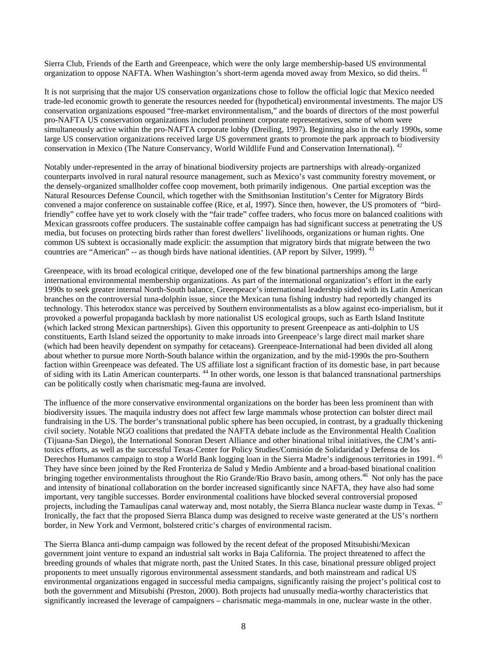Sierra Club, Friends of the Earth and Greenpeace, which were the only large membership-based US environmental organization to oppose NAFTA. When Washington's short-term agenda moved away from Mexico, so did theirs. <sup>41</sup>

It is not surprising that the major US conservation organizations chose to follow the official logic that Mexico needed trade-led economic growth to generate the resources needed for (hypothetical) environmental investments. The major US conservation organizations espoused "free-market environmentalism," and the boards of directors of the most powerful pro-NAFTA US conservation organizations included prominent corporate representatives, some of whom were simultaneously active within the pro-NAFTA corporate lobby (Dreiling, 1997). Beginning also in the early 1990s, some large US conservation organizations received large US government grants to promote the park approach to biodiversity conservation in Mexico (The Nature Conservancy, World Wildlife Fund and Conservation International). <sup>42</sup>

Notably under-represented in the array of binational biodiversity projects are partnerships with already-organized counterparts involved in rural natural resource management, such as Mexico's vast community forestry movement, or the densely-organized smallholder coffee coop movement, both primarily indigenous. One partial exception was the Natural Resources Defense Council, which together with the Smithsonian Institution's Center for Migratory Birds convened a major conference on sustainable coffee (Rice, et al, 1997). Since then, however, the US promoters of "birdfriendly" coffee have yet to work closely with the "fair trade" coffee traders, who focus more on balanced coalitions with Mexican grassroots coffee producers. The sustainable coffee campaign has had significant success at penetrating the US media, but focuses on protecting birds rather than forest dwellers' livelihoods, organizations or human rights. One common US subtext is occasionally made explicit: the assumption that migratory birds that migrate between the two countries are "American"  $-$  as though birds have national identities. (AP report by Silver, 1999).  $43$ 

Greenpeace, with its broad ecological critique, developed one of the few binational partnerships among the large international environmental membership organizations. As part of the international organization's effort in the early 1990s to seek greater internal North-South balance, Greenpeace's international leadership sided with its Latin American branches on the controversial tuna-dolphin issue, since the Mexican tuna fishing industry had reportedly changed its technology. This heterodox stance was perceived by Southern environmentalists as a blow against eco-imperialism, but it provoked a powerful propaganda backlash by more nationalist US ecological groups, such as Earth Island Institute (which lacked strong Mexican partnerships). Given this opportunity to present Greenpeace as anti-dolphin to US constituents, Earth Island seized the opportunity to make inroads into Greenpeace's large direct mail market share (which had been heavily dependent on sympathy for cetaceans). Greenpeace-International had been divided all along about whether to pursue more North-South balance within the organization, and by the mid-1990s the pro-Southern faction within Greenpeace was defeated. The US affiliate lost a significant fraction of its domestic base, in part because of siding with its Latin American counterparts. <sup>44</sup> In other words, one lesson is that balanced transnational partnerships can be politically costly when charismatic meg-fauna are involved.

The influence of the more conservative environmental organizations on the border has been less prominent than with biodiversity issues. The maquila industry does not affect few large mammals whose protection can bolster direct mail fundraising in the US. The border's transnational public sphere has been occupied, in contrast, by a gradually thickening civil society. Notable NGO coalitions that predated the NAFTA debate include as the Environmental Health Coalition (Tijuana-San Diego), the International Sonoran Desert Alliance and other binational tribal initiatives, the CJM's antitoxics efforts, as well as the successful Texas-Center for Policy Studies/Comisión de Solidaridad y Defensa de los Derechos Humanos campaign to stop a World Bank logging loan in the Sierra Madre's indigenous territories in 1991.<sup>45</sup> They have since been joined by the Red Fronteriza de Salud y Medio Ambiente and a broad-based binational coalition bringing together environmentalists throughout the Rio Grande/Rio Bravo basin, among others.<sup>46</sup> Not only has the pace and intensity of binational collaboration on the border increased significantly since NAFTA, they have also had some important, very tangible successes. Border environmental coalitions have blocked several controversial proposed projects, including the Tamaulipas canal waterway and, most notably, the Sierra Blanca nuclear waste dump in Texas. <sup>47</sup> Ironically, the fact that the proposed Sierra Blanca dump was designed to receive waste generated at the US's northern border, in New York and Vermont, bolstered critic's charges of environmental racism.

The Sierra Blanca anti-dump campaign was followed by the recent defeat of the proposed Mitsubishi/Mexican government joint venture to expand an industrial salt works in Baja California. The project threatened to affect the breeding grounds of whales that migrate north, past the United States. In this case, binational pressure obliged project proponents to meet unsually rigorous environmental assessment standards, and both mainstream and radical US environmental organizations engaged in successful media campaigns, significantly raising the project's political cost to both the government and Mitsubishi (Preston, 2000). Both projects had unusually media-worthy characteristics that significantly increased the leverage of campaigners – charismatic mega-mammals in one, nuclear waste in the other.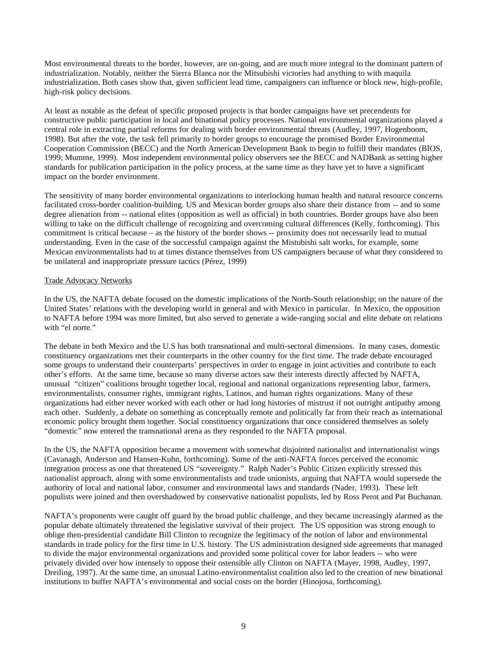Most environmental threats to the border, however, are on-going, and are much more integral to the dominant pattern of industrialization. Notably, neither the Sierra Blanca nor the Mitsubishi victories had anything to with maquila industrialization. Both cases show that, given sufficient lead time, campaigners can influence or block *new*, high-profile, high-risk policy decisions.

At least as notable as the defeat of specific proposed projects is that border campaigns have set precendents for constructive public participation in local and binational policy processes. National environmental organizations played a central role in extracting partial reforms for dealing with border environmental threats (Audley, 1997, Hogenboom, 1998). But after the vote, the task fell primarily to border groups to encourage the promised Border Environmental Cooperation Commission (BECC) and the North American Development Bank to begin to fulfill their mandates (BIOS, 1999; Mumme, 1999). Most independent environmental policy observers see the BECC and NADBank as setting higher standards for publication participation in the policy process, at the same time as they have yet to have a significant impact on the border environment.

The sensitivity of many border environmental organizations to interlocking human health and natural resource concerns facilitated cross-border coalition-building. US and Mexican border groups also share their distance from -- and to some degree alienation from -- national elites (opposition as well as official) in both countries. Border groups have also been willing to take on the difficult challenge of recognizing and overcoming cultural differences (Kelly, forthcoming). This commitment is critical because – as the history of the border shows -- proximity does not necessarily lead to mutual understanding. Even in the case of the successful campaign against the Mistubishi salt works, for example, some Mexican environmentalists had to at times distance themselves from US campaigners because of what they considered to be unilateral and inappropriate pressure tactics (Pérez, 1999)

## Trade Advocacy Networks

In the US, the NAFTA debate focused on the domestic implications of the North-South relationship; on the nature of the United States' relations with the developing world in general and with Mexico in particular. In Mexico, the opposition to NAFTA before 1994 was more limited, but also served to generate a wide-ranging social and elite debate on relations with "el norte."

The debate in both Mexico and the U.S has both transnational and multi-sectoral dimensions. In many cases, domestic constituency organizations met their counterparts in the other country for the first time. The trade debate encouraged some groups to understand their counterparts' perspectives in order to engage in joint activities and contribute to each other's efforts. At the same time, because so many diverse actors saw their interests directly affected by NAFTA, unusual "citizen" coalitions brought together local, regional and national organizations representing labor, farmers, environmentalists, consumer rights, immigrant rights, Latinos, and human rights organizations. Many of these organizations had either never worked with each other or had long histories of mistrust if not outright antipathy among each other. Suddenly, a debate on something as conceptually remote and politically far from their reach as international economic policy brought them together. Social constituency organizations that once considered themselves as solely "domestic" now entered the transnational arena as they responded to the NAFTA proposal.

In the US, the NAFTA opposition became a movement with somewhat disjointed nationalist and internationalist wings (Cavanagh, Anderson and Hansen-Kuhn, forthcoming). Some of the anti-NAFTA forces perceived the economic integration process as one that threatened US "sovereignty." Ralph Nader's Public Citizen explicitly stressed this nationalist approach, along with some environmentalists and trade unionists, arguing that NAFTA would supersede the authority of local and national labor, consumer and environmental laws and standards (Nader, 1993). These left populists were joined and then overshadowed by conservative nationalist populists, led by Ross Perot and Pat Buchanan.

NAFTA's proponents were caught off guard by the broad public challenge, and they became increasingly alarmed as the popular debate ultimately threatened the legislative survival of their project. The US opposition was strong enough to oblige then-presidential candidate Bill Clinton to recognize the legitimacy of the notion of labor and environmental standards in trade policy for the first time in U.S. history. The US administration designed side agreements that managed to divide the major environmental organizations and provided some political cover for labor leaders -- who were privately divided over how intensely to oppose their ostensible ally Clinton on NAFTA (Mayer, 1998, Audley, 1997, Dreiling, 1997). At the same time, an unusual Latino-environmentalist coalition also led to the creation of new binational institutions to buffer NAFTA's environmental and social costs on the border (Hinojosa, forthcoming).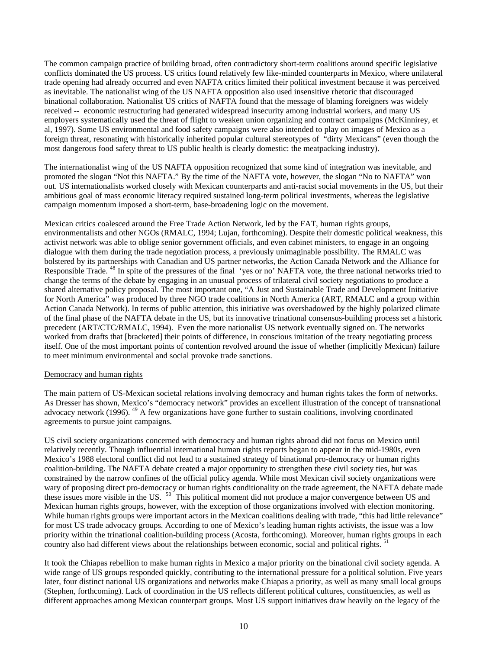The common campaign practice of building broad, often contradictory short-term coalitions around specific legislative conflicts dominated the US process. US critics found relatively few like-minded counterparts in Mexico, where unilateral trade opening had already occurred and even NAFTA critics limited their political investment because it was perceived as inevitable. The nationalist wing of the US NAFTA opposition also used insensitive rhetoric that discouraged binational collaboration. Nationalist US critics of NAFTA found that the message of blaming foreigners was widely received -- economic restructuring had generated widespread insecurity among industrial workers, and many US employers systematically used the threat of flight to weaken union organizing and contract campaigns (McKinnirey, et al, 1997). Some US environmental and food safety campaigns were also intended to play on images of Mexico as a foreign threat, resonating with historically inherited popular cultural stereotypes of "dirty Mexicans" (even though the most dangerous food safety threat to US public health is clearly domestic: the meatpacking industry).

The internationalist wing of the US NAFTA opposition recognized that some kind of integration was inevitable, and promoted the slogan "Not this NAFTA." By the time of the NAFTA vote, however, the slogan "No to NAFTA" won out. US internationalists worked closely with Mexican counterparts and anti-racist social movements in the US, but their ambitious goal of mass economic literacy required sustained long-term political investments, whereas the legislative campaign momentum imposed a short-term, base-broadening logic on the movement.

Mexican critics coalesced around the Free Trade Action Network, led by the FAT, human rights groups, environmentalists and other NGOs (RMALC, 1994; Lujan, forthcoming). Despite their domestic political weakness, this activist network was able to oblige senior government officials, and even cabinet ministers, to engage in an ongoing dialogue with them during the trade negotiation process, a previously unimaginable possibility. The RMALC was bolstered by its partnerships with Canadian and US partner networks, the Action Canada Network and the Alliance for Responsible Trade. <sup>48</sup> In spite of the pressures of the final 'yes or no' NAFTA vote, the three national networks tried to change the terms of the debate by engaging in an unusual process of trilateral civil society negotiations to produce a shared alternative policy proposal. The most important one, "A Just and Sustainable Trade and Development Initiative for North America" was produced by three NGO trade coalitions in North America (ART, RMALC and a group within Action Canada Network). In terms of public attention, this initiative was overshadowed by the highly polarized climate of the final phase of the NAFTA debate in the US, but its innovative trinational consensus-building process set a historic precedent (ART/CTC/RMALC, 1994). Even the more nationalist US network eventually signed on. The networks worked from drafts that [bracketed] their points of difference, in conscious imitation of the treaty negotiating process itself. One of the most important points of contention revolved around the issue of whether (implicitly Mexican) failure to meet minimum environmental and social provoke trade sanctions.

#### Democracy and human rights

The main pattern of US-Mexican societal relations involving democracy and human rights takes the form of networks. As Dresser has shown, Mexico's "democracy network" provides an excellent illustration of the concept of transnational advocacy network (1996).  $^{49}$  A few organizations have gone further to sustain coalitions, involving coordinated agreements to pursue joint campaigns.

US civil society organizations concerned with democracy and human rights abroad did not focus on Mexico until relatively recently. Though influential international human rights reports began to appear in the mid-1980s, even Mexico's 1988 electoral conflict did not lead to a sustained strategy of binational pro-democracy or human rights coalition-building. The NAFTA debate created a major opportunity to strengthen these civil society ties, but was constrained by the narrow confines of the official policy agenda. While most Mexican civil society organizations were wary of proposing direct pro-democracy or human rights conditionality on the trade agreement, the NAFTA debate made these issues more visible in the US. <sup>50</sup> This political moment did not produce a major convergence between US and Mexican human rights groups, however, with the exception of those organizations involved with election monitoring. While human rights groups were important actors in the Mexican coalitions dealing with trade, "this had little relevance" for most US trade advocacy groups. According to one of Mexico's leading human rights activists, the issue was a low priority within the trinational coalition-building process (Acosta, forthcoming). Moreover, human rights groups in each country also had different views about the relationships between economic, social and political rights. <sup>51</sup>

It took the Chiapas rebellion to make human rights in Mexico a major priority on the binational civil society agenda. A wide range of US groups responded quickly, contributing to the international pressure for a political solution. Five years later, four distinct national US organizations and networks make Chiapas a priority, as well as many small local groups (Stephen, forthcoming). Lack of coordination in the US reflects different political cultures, constituencies, as well as different approaches among Mexican counterpart groups. Most US support initiatives draw heavily on the legacy of the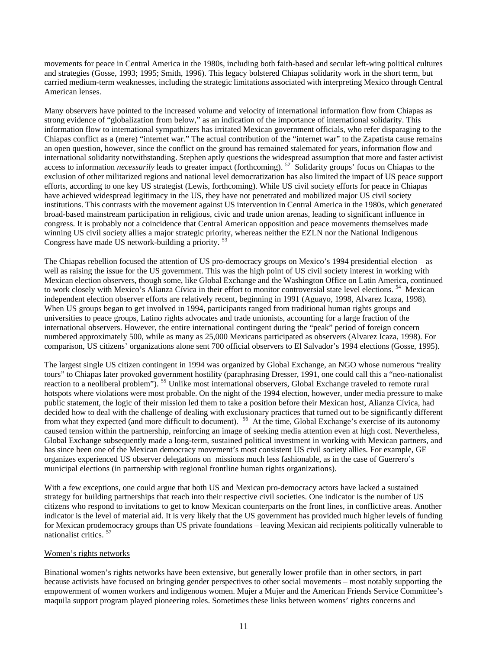movements for peace in Central America in the 1980s, including both faith-based and secular left-wing political cultures and strategies (Gosse, 1993; 1995; Smith, 1996). This legacy bolstered Chiapas solidarity work in the short term, but carried medium-term weaknesses, including the strategic limitations associated with interpreting Mexico through Central American lenses.

Many observers have pointed to the increased volume and velocity of international information flow from Chiapas as strong evidence of "globalization from below," as an indication of the importance of international solidarity. This information flow to international sympathizers has irritated Mexican government officials, who refer disparaging to the Chiapas conflict as a (mere) "internet war." The actual contribution of the "internet war" to the Zapatista cause remains an open question, however, since the conflict on the ground has remained stalemated for years, information flow and international solidarity notwithstanding. Stephen aptly questions the widespread assumption that more and faster activist access to information *necessarily* leads to greater impact (forthcoming). <sup>52</sup> Solidarity groups' focus on Chiapas to the exclusion of other militarized regions and national level democratization has also limited the impact of US peace support efforts, according to one key US strategist (Lewis, forthcoming). While US civil society efforts for peace in Chiapas have achieved widespread legitimacy in the US, they have not penetrated and mobilized major US civil society institutions. This contrasts with the movement against US intervention in Central America in the 1980s, which generated broad-based mainstream participation in religious, civic and trade union arenas, leading to significant influence in congress. It is probably not a coincidence that Central American opposition and peace movements themselves made winning US civil society allies a major strategic priority, whereas neither the EZLN nor the National Indigenous Congress have made US network-building a priority.<sup>5</sup>

The Chiapas rebellion focused the attention of US pro-democracy groups on Mexico's 1994 presidential election – as well as raising the issue for the US government. This was the high point of US civil society interest in working with Mexican election observers, though some, like Global Exchange and the Washington Office on Latin America, continued to work closely with Mexico's Alianza Cívica in their effort to monitor controversial state level elections.<sup>54</sup> Mexican independent election observer efforts are relatively recent, beginning in 1991 (Aguayo, 1998, Alvarez Icaza, 1998). When US groups began to get involved in 1994, participants ranged from traditional human rights groups and universities to peace groups, Latino rights advocates and trade unionists, accounting for a large fraction of the international observers. However, the entire international contingent during the "peak" period of foreign concern numbered approximately 500, while as many as 25,000 Mexicans participated as observers (Alvarez Icaza, 1998). For comparison, US citizens' organizations alone sent 700 official observers to El Salvador's 1994 elections (Gosse, 1995).

The largest single US citizen contingent in 1994 was organized by Global Exchange, an NGO whose numerous "reality tours" to Chiapas later provoked government hostility (paraphrasing Dresser, 1991, one could call this a "neo-nationalist reaction to a neoliberal problem"). <sup>55</sup> Unlike most international observers, Global Exchange traveled to remote rural hotspots where violations were most probable. On the night of the 1994 election, however, under media pressure to make public statement, the logic of their mission led them to take a position before their Mexican host, Alianza Cívica, had decided how to deal with the challenge of dealing with exclusionary practices that turned out to be significantly different from what they expected (and more difficult to document). <sup>56</sup> At the time, Global Exchange's exercise of its autonomy caused tension within the partnership, reinforcing an image of seeking media attention even at high cost. Nevertheless, Global Exchange subsequently made a long-term, sustained political investment in working with Mexican partners, and has since been one of the Mexican democracy movement's most consistent US civil society allies. For example, GE organizes experienced US observer delegations on missions much less fashionable, as in the case of Guerrero's municipal elections (in partnership with regional frontline human rights organizations).

With a few exceptions, one could argue that both US and Mexican pro-democracy actors have lacked a sustained strategy for building partnerships that reach into their respective civil societies. One indicator is the number of US citizens who respond to invitations to get to know Mexican counterparts on the front lines, in conflictive areas. Another indicator is the level of material aid. It is very likely that the US government has provided much higher levels of funding for Mexican prodemocracy groups than US private foundations – leaving Mexican aid recipients politically vulnerable to nationalist critics. <sup>57</sup>

## Women's rights networks

Binational women's rights networks have been extensive, but generally lower profile than in other sectors, in part because activists have focused on bringing gender perspectives to other social movements – most notably supporting the empowerment of women workers and indigenous women. Mujer a Mujer and the American Friends Service Committee's maquila support program played pioneering roles. Sometimes these links between womens' rights concerns and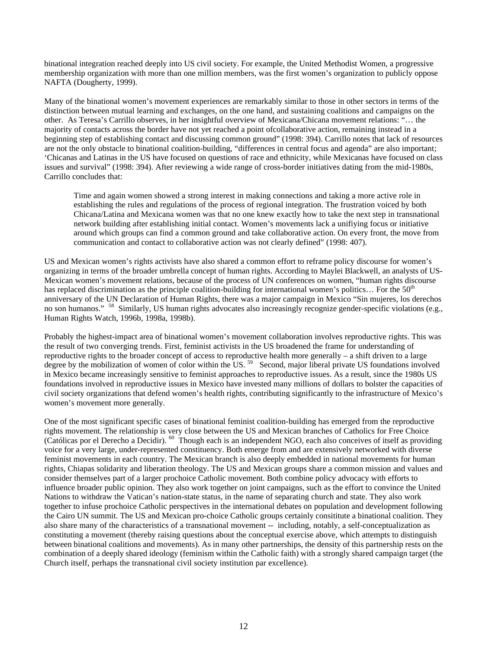binational integration reached deeply into US civil society. For example, the United Methodist Women, a progressive membership organization with more than one million members, was the first women's organization to publicly oppose NAFTA (Dougherty, 1999).

Many of the binational women's movement experiences are remarkably similar to those in other sectors in terms of the distinction between mutual learning and exchanges, on the one hand, and sustaining coalitions and campaigns on the other. As Teresa's Carrillo observes, in her insightful overview of Mexicana/Chicana movement relations: "… the majority of contacts across the border have not yet reached a point ofcollaborative action, remaining instead in a beginning step of establishing contact and discussing common ground" (1998: 394). Carrillo notes that lack of resources are not the only obstacle to binational coalition-building, "differences in central focus and agenda" are also important; 'Chicanas and Latinas in the US have focused on questions of race and ethnicity, while Mexicanas have focused on class issues and survival" (1998: 394). After reviewing a wide range of cross-border initiatives dating from the mid-1980s, Carrillo concludes that:

Time and again women showed a strong interest in making connections and taking a more active role in establishing the rules and regulations of the process of regional integration. The frustration voiced by both Chicana/Latina and Mexicana women was that no one knew exactly how to take the next step in transnational network building after establishing initial contact. Women's movements lack a unifiying focus or initiative around which groups can find a common ground and take collaborative action. On every front, the move from communication and contact to collaborative action was not clearly defined" (1998: 407).

US and Mexican women's rights activists have also shared a common effort to reframe policy discourse for women's organizing in terms of the broader umbrella concept of human rights. According to Maylei Blackwell, an analysts of US-Mexican women's movement relations, because of the process of UN conferences on women, "human rights discourse has replaced discrimination as the principle coalition-building for international women's politics... For the  $50<sup>th</sup>$ anniversary of the UN Declaration of Human Rights, there was a major campaign in Mexico "Sin mujeres, los derechos no son humanos." <sup>58</sup> Similarly, US human rights advocates also increasingly recognize gender-specific violations (e.g., Human Rights Watch, 1996b, 1998a, 1998b).

Probably the highest-impact area of binational women's movement collaboration involves reproductive rights. This was the result of two converging trends. First, feminist activists in the US broadened the frame for understanding of reproductive rights to the broader concept of access to reproductive health more generally – a shift driven to a large degree by the mobilization of women of color within the US.<sup>59</sup> Second, major liberal private US foundations involved in Mexico became increasingly sensitive to feminist approaches to reproductive issues. As a result, since the 1980s US foundations involved in reproductive issues in Mexico have invested many millions of dollars to bolster the capacities of civil society organizations that defend women's health rights, contributing significantly to the infrastructure of Mexico's women's movement more generally.

One of the most significant specific cases of binational feminist coalition-building has emerged from the reproductive rights movement. The relationship is very close between the US and Mexican branches of Catholics for Free Choice (Católicas por el Derecho a Decidir). <sup>60</sup> Though each is an independent NGO, each also conceives of itself as providing voice for a very large, under-represented constituency. Both emerge from and are extensively networked with diverse feminist movements in each country. The Mexican branch is also deeply embedded in national movements for human rights, Chiapas solidarity and liberation theology. The US and Mexican groups share a common mission and values and consider themselves part of a larger prochoice Catholic movement. Both combine policy advocacy with efforts to influence broader public opinion. They also work together on joint campaigns, such as the effort to convince the United Nations to withdraw the Vatican's nation-state status, in the name of separating church and state. They also work together to infuse prochoice Catholic perspectives in the international debates on population and development following the Cairo UN summit. The US and Mexican pro-choice Catholic groups certainly consititute a binational coalition. They also share many of the characteristics of a transnational movement -- including, notably, a self-conceptualization as constituting a movement (thereby raising questions about the conceptual exercise above, which attempts to distinguish between binational coalitions and movements). As in many other partnerships, the density of this partnership rests on the combination of a deeply shared ideology (feminism within the Catholic faith) with a strongly shared campaign target (the Church itself, perhaps the transnational civil society institution par excellence).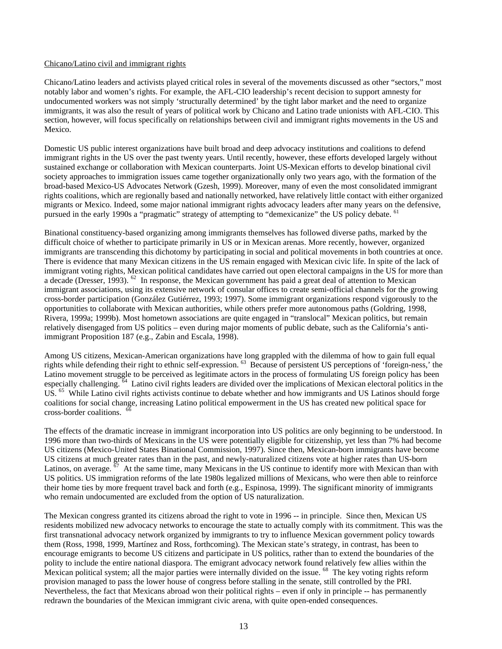#### Chicano/Latino civil and immigrant rights

Chicano/Latino leaders and activists played critical roles in several of the movements discussed as other "sectors," most notably labor and women's rights. For example, the AFL-CIO leadership's recent decision to support amnesty for undocumented workers was not simply 'structurally determined' by the tight labor market and the need to organize immigrants, it was also the result of years of political work by Chicano and Latino trade unionists with AFL-CIO. This section, however, will focus specifically on relationships between civil and immigrant rights movements in the US and Mexico.

Domestic US public interest organizations have built broad and deep advocacy institutions and coalitions to defend immigrant rights in the US over the past twenty years. Until recently, however, these efforts developed largely without sustained exchange or collaboration with Mexican counterparts. Joint US-Mexican efforts to develop binational civil society approaches to immigration issues came together organizationally only two years ago, with the formation of the broad-based Mexico-US Advocates Network (Gzesh, 1999). Moreover, many of even the most consolidated immigrant rights coalitions, which are regionally based and nationally networked, have relatively little contact with either organized migrants or Mexico. Indeed, some major national immigrant rights advocacy leaders after many years on the defensive, pursued in the early 1990s a "pragmatic" strategy of attempting to "demexicanize" the US policy debate. <sup>61</sup>

Binational constituency-based organizing among immigrants themselves has followed diverse paths, marked by the difficult choice of whether to participate primarily in US or in Mexican arenas. More recently, however, organized immigrants are transcending this dichotomy by participating in social and political movements in both countries at once. There is evidence that many Mexican citizens in the US remain engaged with Mexican civic life. In spite of the lack of immigrant voting rights, Mexican political candidates have carried out open electoral campaigns in the US for more than a decade (Dresser, 1993). <sup>62</sup> In response, the Mexican government has paid a great deal of attention to Mexican immigrant associations, using its extensive network of consular offices to create semi-official channels for the growing cross-border participation (González Gutiérrez, 1993; 1997). Some immigrant organizations respond vigorously to the opportunities to collaborate with Mexican authorities, while others prefer more autonomous paths (Goldring, 1998, Rivera, 1999a; 1999b). Most hometown associations are quite engaged in "translocal" Mexican politics, but remain relatively disengaged from US politics – even during major moments of public debate, such as the California's antiimmigrant Proposition 187 (e.g., Zabin and Escala, 1998).

Among US citizens, Mexican-American organizations have long grappled with the dilemma of how to gain full equal rights while defending their right to ethnic self-expression. <sup>63</sup> Because of persistent US perceptions of 'foreign-ness,' the Latino movement struggle to be perceived as legitimate actors in the process of formulating US foreign policy has been especially challenging. <sup>64</sup> Latino civil rights leaders are divided over the implications of Mexican electoral politics in the US. <sup>65</sup> While Latino civil rights activists continue to debate whether and how immigrants and US Latinos should forge coalitions for social change, increasing Latino political empowerment in the US has created new political space for cross-border coalitions. <sup>66</sup>

The effects of the dramatic increase in immigrant incorporation into US politics are only beginning to be understood. In 1996 more than two-thirds of Mexicans in the US were potentially eligible for citizenship, yet less than 7% had become US citizens (Mexico-United States Binational Commission, 1997). Since then, Mexican-born immigrants have become US citizens at much greater rates than in the past, and newly-naturalized citizens vote at higher rates than US-born Latinos, on average.  $\frac{67}{7}$  At the same time, many Mexicans in the US continue to identify more with Mexican than with US politics. US immigration reforms of the late 1980s legalized millions of Mexicans, who were then able to reinforce their home ties by more frequent travel back and forth (e.g., Espinosa, 1999). The significant minority of immigrants who remain undocumented are excluded from the option of US naturalization.

The Mexican congress granted its citizens abroad the right to vote in 1996 -- in principle. Since then, Mexican US residents mobilized new advocacy networks to encourage the state to actually comply with its commitment. This was the first transnational advocacy network organized by immigrants to try to influence Mexican government policy towards them (Ross, 1998, 1999, Martínez and Ross, forthcoming). The Mexican state's strategy, in contrast, has been to encourage emigrants to become US citizens and participate in US politics, rather than to extend the boundaries of the polity to include the entire national diaspora. The emigrant advocacy network found relatively few allies within the Mexican political system; all the major parties were internally divided on the issue. <sup>68</sup> The key voting rights reform provision managed to pass the lower house of congress before stalling in the senate, still controlled by the PRI. Nevertheless, the fact that Mexicans abroad won their political rights – even if only in principle -- has permanently redrawn the boundaries of the Mexican immigrant civic arena, with quite open-ended consequences.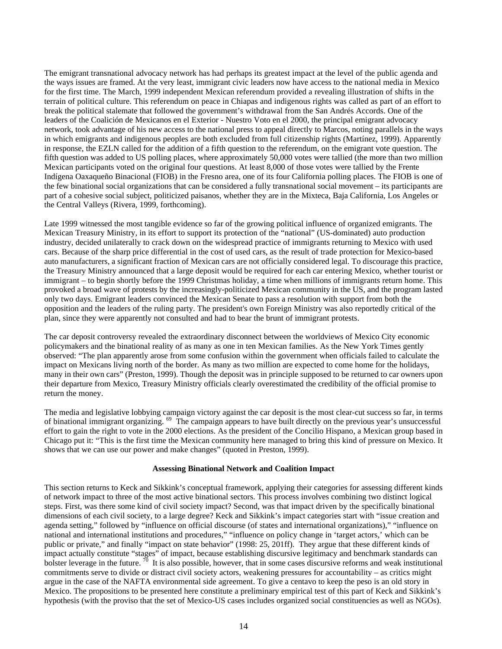The emigrant transnational advocacy network has had perhaps its greatest impact at the level of the public agenda and the ways issues are framed. At the very least, immigrant civic leaders now have access to the national media in Mexico for the first time. The March, 1999 independent Mexican referendum provided a revealing illustration of shifts in the terrain of political culture. This referendum on peace in Chiapas and indigenous rights was called as part of an effort to break the political stalemate that followed the government's withdrawal from the San Andrés Accords. One of the leaders of the Coalición de Mexicanos en el Exterior - Nuestro Voto en el 2000, the principal emigrant advocacy network, took advantage of his new access to the national press to appeal directly to Marcos, noting parallels in the ways in which emigrants and indigenous peoples are both excluded from full citizenship rights (Martínez, 1999). Apparently in response, the EZLN called for the addition of a fifth question to the referendum, on the emigrant vote question. The fifth question was added to US polling places, where approximately 50,000 votes were tallied (the more than two million Mexican participants voted on the original four questions. At least 8,000 of those votes were tallied by the Frente Indígena Oaxaqueño Binacional (FIOB) in the Fresno area, one of its four California polling places. The FIOB is one of the few binational social organizations that can be considered a fully transnational social movement – its participants are part of a cohesive social subject, politicized paisanos, whether they are in the Mixteca, Baja California, Los Angeles or the Central Valleys (Rivera, 1999, forthcoming).

Late 1999 witnessed the most tangible evidence so far of the growing political influence of organized emigrants. The Mexican Treasury Ministry, in its effort to support its protection of the "national" (US-dominated) auto production industry, decided unilaterally to crack down on the widespread practice of immigrants returning to Mexico with used cars. Because of the sharp price differential in the cost of used cars, as the result of trade protection for Mexico-based auto manufacturers, a significant fraction of Mexican cars are not officially considered legal. To discourage this practice, the Treasury Ministry announced that a large deposit would be required for each car entering Mexico, whether tourist or immigrant – to begin shortly before the 1999 Christmas holiday, a time when millions of immigrants return home. This provoked a broad wave of protests by the increasingly-politicized Mexican community in the US, and the program lasted only two days. Emigrant leaders convinced the Mexican Senate to pass a resolution with support from both the opposition and the leaders of the ruling party. The president's own Foreign Ministry was also reportedly critical of the plan, since they were apparently not consulted and had to bear the brunt of immigrant protests.

The car deposit controversy revealed the extraordinary disconnect between the worldviews of Mexico City economic policymakers and the binational reality of as many as one in ten Mexican families. As the New York Times gently observed: "The plan apparently arose from some confusion within the government when officials failed to calculate the impact on Mexicans living north of the border. As many as two million are expected to come home for the holidays, many in their own cars" (Preston, 1999). Though the deposit was in principle supposed to be returned to car owners upon their departure from Mexico, Treasury Ministry officials clearly overestimated the credibility of the official promise to return the money.

The media and legislative lobbying campaign victory against the car deposit is the most clear-cut success so far, in terms of binational immigrant organizing. <sup>69</sup> The campaign appears to have built directly on the previous year's unsuccessful effort to gain the right to vote in the 2000 elections. As the president of the Concilio Hispano, a Mexican group based in Chicago put it: "This is the first time the Mexican community here managed to bring this kind of pressure on Mexico. It shows that we can use our power and make changes" (quoted in Preston, 1999).

#### **Assessing Binational Network and Coalition Impact**

This section returns to Keck and Sikkink's conceptual framework, applying their categories for assessing different kinds of network impact to three of the most active binational sectors. This process involves combining two distinct logical steps. First, was there some kind of civil society impact? Second, was that impact driven by the specifically binational dimensions of each civil society, to a large degree? Keck and Sikkink's impact categories start with "issue creation and agenda setting," followed by "influence on official discourse (of states and international organizations)," "influence on national and international institutions and procedures," "influence on policy change in 'target actors,' which can be public or private," and finally "impact on state behavior" (1998: 25, 201ff). They argue that these different kinds of impact actually constitute "stages" of impact, because establishing discursive legitimacy and benchmark standards can bolster leverage in the future.  $\sqrt[70]{}$  It is also possible, however, that in some cases discursive reforms and weak institutional commitments serve to divide or distract civil society actors, weakening pressures for accountability – as critics might argue in the case of the NAFTA environmental side agreement. To give a centavo to keep the peso is an old story in Mexico. The propositions to be presented here constitute a preliminary empirical test of this part of Keck and Sikkink's hypothesis (with the proviso that the set of Mexico-US cases includes organized social constituencies as well as NGOs).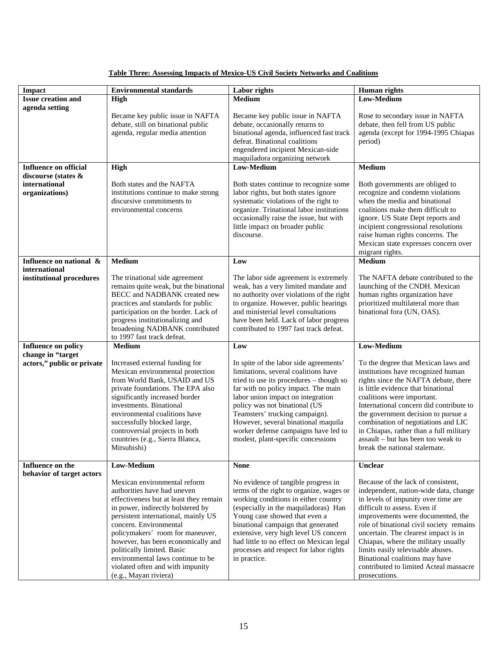| <b>Impact</b>                                 | <b>Environmental standards</b>                                                                                                                                                                                                                                                                                                                                                                                        | Labor rights                                                                                                                                                                                                                                                                                                                                                                                  | <b>Human</b> rights                                                                                                                                                                                                                                                                                                                                                                                                                                  |
|-----------------------------------------------|-----------------------------------------------------------------------------------------------------------------------------------------------------------------------------------------------------------------------------------------------------------------------------------------------------------------------------------------------------------------------------------------------------------------------|-----------------------------------------------------------------------------------------------------------------------------------------------------------------------------------------------------------------------------------------------------------------------------------------------------------------------------------------------------------------------------------------------|------------------------------------------------------------------------------------------------------------------------------------------------------------------------------------------------------------------------------------------------------------------------------------------------------------------------------------------------------------------------------------------------------------------------------------------------------|
| <b>Issue creation and</b>                     | High                                                                                                                                                                                                                                                                                                                                                                                                                  | <b>Medium</b>                                                                                                                                                                                                                                                                                                                                                                                 | Low-Medium                                                                                                                                                                                                                                                                                                                                                                                                                                           |
| agenda setting                                |                                                                                                                                                                                                                                                                                                                                                                                                                       |                                                                                                                                                                                                                                                                                                                                                                                               |                                                                                                                                                                                                                                                                                                                                                                                                                                                      |
|                                               | Became key public issue in NAFTA<br>debate, still on binational public<br>agenda, regular media attention                                                                                                                                                                                                                                                                                                             | Became key public issue in NAFTA<br>debate, occasionally returns to<br>binational agenda, influenced fast track<br>defeat. Binational coalitions<br>engendered incipient Mexican-side<br>maquiladora organizing network                                                                                                                                                                       | Rose to secondary issue in NAFTA<br>debate, then fell from US public<br>agenda (except for 1994-1995 Chiapas<br>period)                                                                                                                                                                                                                                                                                                                              |
| <b>Influence on official</b>                  | High                                                                                                                                                                                                                                                                                                                                                                                                                  | Low-Medium                                                                                                                                                                                                                                                                                                                                                                                    | <b>Medium</b>                                                                                                                                                                                                                                                                                                                                                                                                                                        |
| discourse (states &                           |                                                                                                                                                                                                                                                                                                                                                                                                                       |                                                                                                                                                                                                                                                                                                                                                                                               |                                                                                                                                                                                                                                                                                                                                                                                                                                                      |
| international                                 | Both states and the NAFTA                                                                                                                                                                                                                                                                                                                                                                                             | Both states continue to recognize some                                                                                                                                                                                                                                                                                                                                                        | Both governments are obliged to                                                                                                                                                                                                                                                                                                                                                                                                                      |
| organizations)                                | institutions continue to make strong                                                                                                                                                                                                                                                                                                                                                                                  | labor rights, but both states ignore                                                                                                                                                                                                                                                                                                                                                          | recognize and condemn violations                                                                                                                                                                                                                                                                                                                                                                                                                     |
|                                               | discursive commitments to<br>environmental concerns                                                                                                                                                                                                                                                                                                                                                                   | systematic violations of the right to<br>organize. Trinational labor institutions<br>occasionally raise the issue, but with<br>little impact on broader public<br>discourse.                                                                                                                                                                                                                  | when the media and binational<br>coalitions make them difficult to<br>ignore. US State Dept reports and<br>incipient congressional resolutions<br>raise human rights concerns. The<br>Mexican state expresses concern over<br>migrant rights.                                                                                                                                                                                                        |
| Influence on national &                       | <b>Medium</b>                                                                                                                                                                                                                                                                                                                                                                                                         | Low                                                                                                                                                                                                                                                                                                                                                                                           | Medium                                                                                                                                                                                                                                                                                                                                                                                                                                               |
| international                                 |                                                                                                                                                                                                                                                                                                                                                                                                                       |                                                                                                                                                                                                                                                                                                                                                                                               |                                                                                                                                                                                                                                                                                                                                                                                                                                                      |
| institutional procedures                      | The trinational side agreement<br>remains quite weak, but the binational                                                                                                                                                                                                                                                                                                                                              | The labor side agreement is extremely<br>weak, has a very limited mandate and                                                                                                                                                                                                                                                                                                                 | The NAFTA debate contributed to the<br>launching of the CNDH. Mexican                                                                                                                                                                                                                                                                                                                                                                                |
|                                               | BECC and NADBANK created new                                                                                                                                                                                                                                                                                                                                                                                          | no authority over violations of the right                                                                                                                                                                                                                                                                                                                                                     | human rights organization have                                                                                                                                                                                                                                                                                                                                                                                                                       |
|                                               | practices and standards for public                                                                                                                                                                                                                                                                                                                                                                                    | to organize. However, public hearings                                                                                                                                                                                                                                                                                                                                                         | prioritized multilateral more than                                                                                                                                                                                                                                                                                                                                                                                                                   |
|                                               | participation on the border. Lack of                                                                                                                                                                                                                                                                                                                                                                                  | and ministerial level consultations                                                                                                                                                                                                                                                                                                                                                           | binational fora (UN, OAS).                                                                                                                                                                                                                                                                                                                                                                                                                           |
|                                               | progress institutionalizing and<br>broadening NADBANK contributed                                                                                                                                                                                                                                                                                                                                                     | have been held. Lack of labor progress<br>contributed to 1997 fast track defeat.                                                                                                                                                                                                                                                                                                              |                                                                                                                                                                                                                                                                                                                                                                                                                                                      |
|                                               | to 1997 fast track defeat.                                                                                                                                                                                                                                                                                                                                                                                            |                                                                                                                                                                                                                                                                                                                                                                                               |                                                                                                                                                                                                                                                                                                                                                                                                                                                      |
| <b>Influence on policy</b>                    | <b>Medium</b>                                                                                                                                                                                                                                                                                                                                                                                                         | Low                                                                                                                                                                                                                                                                                                                                                                                           | Low-Medium                                                                                                                                                                                                                                                                                                                                                                                                                                           |
| change in "target                             |                                                                                                                                                                                                                                                                                                                                                                                                                       |                                                                                                                                                                                                                                                                                                                                                                                               |                                                                                                                                                                                                                                                                                                                                                                                                                                                      |
| actors," public or private                    | Increased external funding for<br>Mexican environmental protection<br>from World Bank, USAID and US<br>private foundations. The EPA also<br>significantly increased border<br>investments. Binational<br>environmental coalitions have<br>successfully blocked large,<br>controversial projects in both<br>countries (e.g., Sierra Blanca,<br>Mitsubishi)                                                             | In spite of the labor side agreements'<br>limitations, several coalitions have<br>tried to use its procedures - though so<br>far with no policy impact. The main<br>labor union impact on integration<br>policy was not binational (US<br>Teamsters' trucking campaign).<br>However, several binational maquila<br>worker defense campaigns have led to<br>modest, plant-specific concessions | To the degree that Mexican laws and<br>institutions have recognized human<br>rights since the NAFTA debate, there<br>is little evidence that binational<br>coalitions were important.<br>International concern did contribute to<br>the government decision to pursue a<br>combination of negotiations and LIC<br>in Chiapas, rather than a full military<br>assault - but has been too weak to<br>break the national stalemate.                     |
| Influence on the<br>behavior of target actors | <b>Low-Medium</b>                                                                                                                                                                                                                                                                                                                                                                                                     | <b>None</b>                                                                                                                                                                                                                                                                                                                                                                                   | Unclear                                                                                                                                                                                                                                                                                                                                                                                                                                              |
|                                               | Mexican environmental reform<br>authorities have had uneven<br>effectiveness but at least they remain<br>in power, indirectly bolstered by<br>persistent international, mainly US<br>concern. Environmental<br>policymakers' room for maneuver,<br>however, has been economically and<br>politically limited. Basic<br>environmental laws continue to be<br>violated often and with impunity<br>(e.g., Mayan riviera) | No evidence of tangible progress in<br>terms of the right to organize, wages or<br>working conditions in either country<br>(especially in the maquiladoras) Han<br>Young case showed that even a<br>binational campaign that generated<br>extensive, very high level US concern<br>had little to no effect on Mexican legal<br>processes and respect for labor rights<br>in practice.         | Because of the lack of consistent.<br>independent, nation-wide data, change<br>in levels of impunity over time are<br>difficult to assess. Even if<br>improvements were documented, the<br>role of binational civil society remains<br>uncertain. The clearest impact is in<br>Chiapas, where the military usually<br>limits easily televisable abuses.<br>Binational coalitions may have<br>contributed to limited Acteal massacre<br>prosecutions. |

## **Table Three: Assessing Impacts of Mexico-US Civil Society Networks and Coalitions**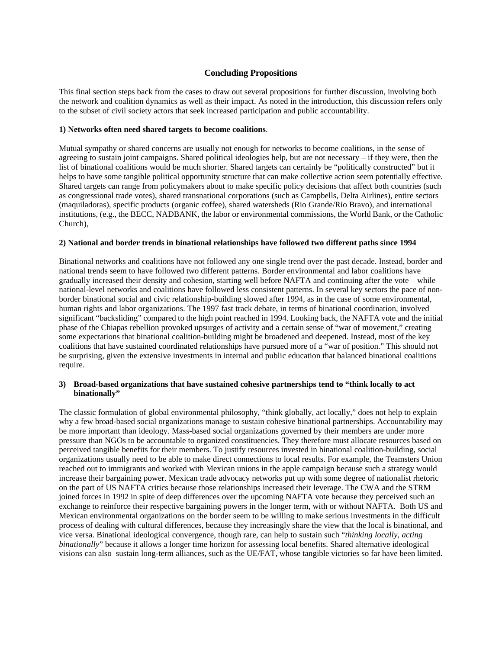## **Concluding Propositions**

This final section steps back from the cases to draw out several propositions for further discussion, involving both the network and coalition dynamics as well as their impact. As noted in the introduction, this discussion refers only to the subset of civil society actors that seek increased participation and public accountability.

#### **1) Networks often need shared targets to become coalitions**.

Mutual sympathy or shared concerns are usually not enough for networks to become coalitions, in the sense of agreeing to sustain joint campaigns. Shared political ideologies help, but are not necessary – if they were, then the list of binational coalitions would be much shorter. Shared targets can certainly be "politically constructed" but it helps to have some tangible political opportunity structure that can make collective action seem potentially effective. Shared targets can range from policymakers about to make specific policy decisions that affect both countries (such as congressional trade votes), shared transnational corporations (such as Campbells, Delta Airlines), entire sectors (maquiladoras), specific products (organic coffee), shared watersheds (Rio Grande/Rio Bravo), and international institutions, (e.g., the BECC, NADBANK, the labor or environmental commissions, the World Bank, or the Catholic Church),

#### **2) National and border trends in binational relationships have followed two different paths since 1994**

Binational networks and coalitions have not followed any one single trend over the past decade. Instead, border and national trends seem to have followed two different patterns. Border environmental and labor coalitions have gradually increased their density and cohesion, starting well before NAFTA and continuing after the vote – while national-level networks and coalitions have followed less consistent patterns. In several key sectors the pace of nonborder binational social and civic relationship-building slowed after 1994, as in the case of some environmental, human rights and labor organizations. The 1997 fast track debate, in terms of binational coordination, involved significant "backsliding" compared to the high point reached in 1994. Looking back, the NAFTA vote and the initial phase of the Chiapas rebellion provoked upsurges of activity and a certain sense of "war of movement," creating some expectations that binational coalition-building might be broadened and deepened. Instead, most of the key coalitions that have sustained coordinated relationships have pursued more of a "war of position." This should not be surprising, given the extensive investments in internal and public education that balanced binational coalitions require.

## **3) Broad-based organizations that have sustained cohesive partnerships tend to "think locally to act binationally"**

The classic formulation of global environmental philosophy, "think globally, act locally," does not help to explain why a few broad-based social organizations manage to sustain cohesive binational partnerships. Accountability may be more important than ideology. Mass-based social organizations governed by their members are under more pressure than NGOs to be accountable to organized constituencies. They therefore must allocate resources based on perceived tangible benefits for their members. To justify resources invested in binational coalition-building, social organizations usually need to be able to make direct connections to local results. For example, the Teamsters Union reached out to immigrants and worked with Mexican unions in the apple campaign because such a strategy would increase their bargaining power. Mexican trade advocacy networks put up with some degree of nationalist rhetoric on the part of US NAFTA critics because those relationships increased their leverage. The CWA and the STRM joined forces in 1992 in spite of deep differences over the upcoming NAFTA vote because they perceived such an exchange to reinforce their respective bargaining powers in the longer term, with or without NAFTA. Both US and Mexican environmental organizations on the border seem to be willing to make serious investments in the difficult process of dealing with cultural differences, because they increasingly share the view that the local is binational, and vice versa. Binational ideological convergence, though rare, can help to sustain such "*thinking locally, acting binationally*" because it allows a longer time horizon for assessing local benefits. Shared alternative ideological visions can also sustain long-term alliances, such as the UE/FAT, whose tangible victories so far have been limited.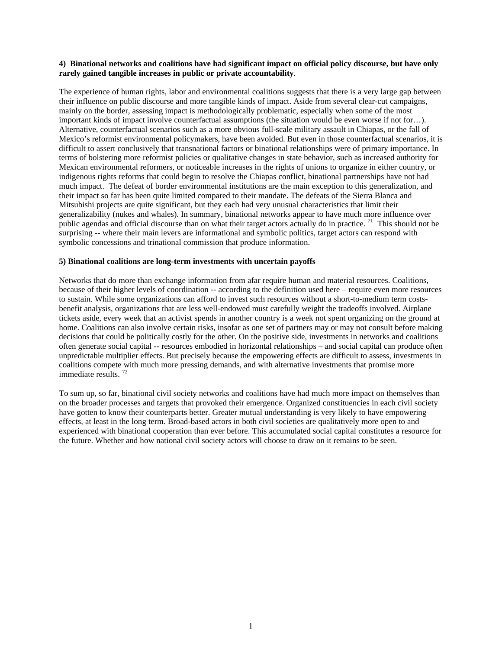#### **4) Binational networks and coalitions have had significant impact on official policy discourse, but have only rarely gained tangible increases in public or private accountability**.

The experience of human rights, labor and environmental coalitions suggests that there is a very large gap between their influence on public discourse and more tangible kinds of impact. Aside from several clear-cut campaigns, mainly on the border, assessing impact is methodologically problematic, especially when some of the most important kinds of impact involve counterfactual assumptions (the situation would be even worse if not for…). Alternative, counterfactual scenarios such as a more obvious full-scale military assault in Chiapas, or the fall of Mexico's reformist environmental policymakers, have been avoided. But even in those counterfactual scenarios, it is difficult to assert conclusively that transnational factors or binational relationships were of primary importance. In terms of bolstering more reformist policies or qualitative changes in state behavior, such as increased authority for Mexican environmental reformers, or noticeable increases in the rights of unions to organize in either country, or indigenous rights reforms that could begin to resolve the Chiapas conflict, binational partnerships have not had much impact. The defeat of border environmental institutions are the main exception to this generalization, and their impact so far has been quite limited compared to their mandate. The defeats of the Sierra Blanca and Mitsubishi projects are quite significant, but they each had very unusual characteristics that limit their generalizability (nukes and whales). In summary, binational networks appear to have much more influence over public agendas and official discourse than on what their target actors actually do in practice. <sup>71</sup> This should not be surprising -- where their main levers are informational and symbolic politics, target actors can respond with symbolic concessions and trinational commission that produce information.

## **5) Binational coalitions are long-term investments with uncertain payoffs**

Networks that do more than exchange information from afar require human and material resources. Coalitions, because of their higher levels of coordination -- according to the definition used here – require even more resources to sustain. While some organizations can afford to invest such resources without a short-to-medium term costsbenefit analysis, organizations that are less well-endowed must carefully weight the tradeoffs involved. Airplane tickets aside, every week that an activist spends in another country is a week not spent organizing on the ground at home. Coalitions can also involve certain risks, insofar as one set of partners may or may not consult before making decisions that could be politically costly for the other. On the positive side, investments in networks and coalitions often generate social capital -- resources embodied in horizontal relationships – and social capital can produce often unpredictable multiplier effects. But precisely because the empowering effects are difficult to assess, investments in coalitions compete with much more pressing demands, and with alternative investments that promise more immediate results. <sup>72</sup>

To sum up, so far, binational civil society networks and coalitions have had much more impact on themselves than on the broader processes and targets that provoked their emergence. Organized constituencies in each civil society have gotten to know their counterparts better. Greater mutual understanding is very likely to have empowering effects, at least in the long term. Broad-based actors in both civil societies are qualitatively more open to and experienced with binational cooperation than ever before. This accumulated social capital constitutes a resource for the future. Whether and how national civil society actors will choose to draw on it remains to be seen.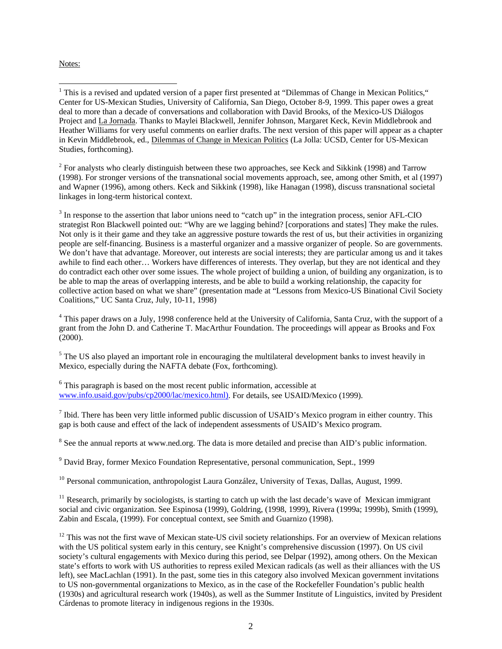#### Notes:

 $2^{2}$  For analysts who clearly distinguish between these two approaches, see Keck and Sikkink (1998) and Tarrow (1998). For stronger versions of the transnational social movements approach, see, among other Smith, et al (1997) and Wapner (1996), among others. Keck and Sikkink (1998), like Hanagan (1998), discuss transnational societal linkages in long-term historical context.

<sup>3</sup> In response to the assertion that labor unions need to "catch up" in the integration process, senior AFL-CIO strategist Ron Blackwell pointed out: "Why are we lagging behind? [corporations and states] They make the rules. Not only is it their game and they take an aggressive posture towards the rest of us, but their activities in organizing people are self-financing. Business is a masterful organizer and a massive organizer of people. So are governments. We don't have that advantage. Moreover, out interests are social interests; they are particular among us and it takes awhile to find each other… Workers have differences of interests. They overlap, but they are not identical and they do contradict each other over some issues. The whole project of building a union, of building any organization, is to be able to map the areas of overlapping interests, and be able to build a working relationship, the capacity for collective action based on what we share" (presentation made at "Lessons from Mexico-US Binational Civil Society Coalitions," UC Santa Cruz, July, 10-11, 1998)

<sup>4</sup> This paper draws on a July, 1998 conference held at the University of California, Santa Cruz, with the support of a grant from the John D. and Catherine T. MacArthur Foundation. The proceedings will appear as Brooks and Fox (2000).

<sup>5</sup> The US also played an important role in encouraging the multilateral development banks to invest heavily in Mexico, especially during the NAFTA debate (Fox, forthcoming).

<sup>6</sup> This paragraph is based on the most recent public information, accessible at www.info.usaid.gov/pubs/cp2000/lac/mexico.html). For details, see USAID/Mexico (1999).

 $<sup>7</sup>$  Ibid. There has been very little informed public discussion of USAID's Mexico program in either country. This</sup> gap is both cause and effect of the lack of independent assessments of USAID's Mexico program.

 $8$  See the annual reports at www.ned.org. The data is more detailed and precise than AID's public information.

<sup>9</sup> David Bray, former Mexico Foundation Representative, personal communication, Sept., 1999

<sup>10</sup> Personal communication, anthropologist Laura González, University of Texas, Dallas, August, 1999.

 $<sup>11</sup>$  Research, primarily by sociologists, is starting to catch up with the last decade's wave of Mexican immigrant</sup> social and civic organization. See Espinosa (1999), Goldring, (1998, 1999), Rivera (1999a; 1999b), Smith (1999), Zabin and Escala, (1999). For conceptual context, see Smith and Guarnizo (1998).

 $12$  This was not the first wave of Mexican state-US civil society relationships. For an overview of Mexican relations with the US political system early in this century, see Knight's comprehensive discussion (1997). On US civil society's cultural engagements with Mexico during this period, see Delpar (1992), among others. On the Mexican state's efforts to work with US authorities to repress exiled Mexican radicals (as well as their alliances with the US left), see MacLachlan (1991). In the past, some ties in this category also involved Mexican government invitations to US non-governmental organizations to Mexico, as in the case of the Rockefeller Foundation's public health (1930s) and agricultural research work (1940s), as well as the Summer Institute of Linguistics, invited by President Cárdenas to promote literacy in indigenous regions in the 1930s.

<sup>&</sup>lt;sup>1</sup> This is a revised and updated version of a paper first presented at "Dilemmas of Change in Mexican Politics," Center for US-Mexican Studies, University of California, San Diego, October 8-9, 1999. This paper owes a great deal to more than a decade of conversations and collaboration with David Brooks, of the Mexico-US Diálogos Project and La Jornada. Thanks to Maylei Blackwell, Jennifer Johnson, Margaret Keck, Kevin Middlebrook and Heather Williams for very useful comments on earlier drafts. The next version of this paper will appear as a chapter in Kevin Middlebrook, ed., Dilemmas of Change in Mexican Politics (La Jolla: UCSD, Center for US-Mexican Studies, forthcoming).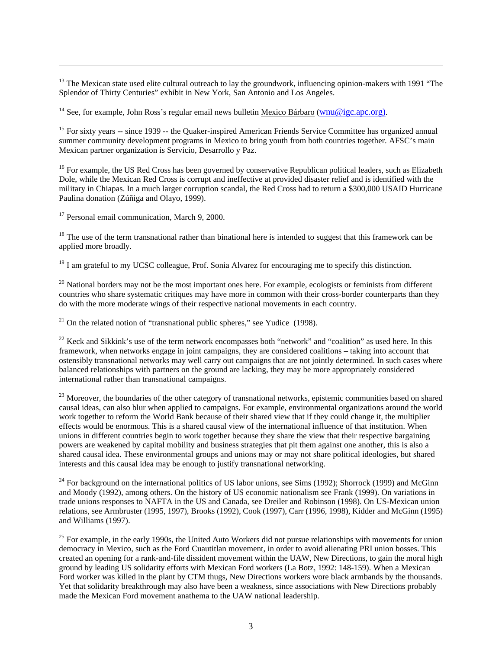$13$  The Mexican state used elite cultural outreach to lay the groundwork, influencing opinion-makers with 1991 "The Splendor of Thirty Centuries" exhibit in New York, San Antonio and Los Angeles.

<sup>14</sup> See, for example, John Ross's regular email news bulletin Mexico Bárbaro (wnu@igc.apc.org).

<sup>15</sup> For sixty years -- since 1939 -- the Quaker-inspired American Friends Service Committee has organized annual summer community development programs in Mexico to bring youth from both countries together. AFSC's main Mexican partner organization is Servicio, Desarrollo y Paz.

<sup>16</sup> For example, the US Red Cross has been governed by conservative Republican political leaders, such as Elizabeth Dole, while the Mexican Red Cross is corrupt and ineffective at provided disaster relief and is identified with the military in Chiapas. In a much larger corruption scandal, the Red Cross had to return a \$300,000 USAID Hurricane Paulina donation (Zúñiga and Olayo, 1999).

<sup>17</sup> Personal email communication, March 9, 2000.

 $\overline{a}$ 

 $18$  The use of the term transnational rather than binational here is intended to suggest that this framework can be applied more broadly.

<sup>19</sup> I am grateful to my UCSC colleague, Prof. Sonia Alvarez for encouraging me to specify this distinction.

 $20$  National borders may not be the most important ones here. For example, ecologists or feminists from different countries who share systematic critiques may have more in common with their cross-border counterparts than they do with the more moderate wings of their respective national movements in each country.

 $21$  On the related notion of "transnational public spheres," see Yudice (1998).

 $22$  Keck and Sikkink's use of the term network encompasses both "network" and "coalition" as used here. In this framework, when networks engage in joint campaigns, they are considered coalitions – taking into account that ostensibly transnational networks may well carry out campaigns that are not jointly determined. In such cases where balanced relationships with partners on the ground are lacking, they may be more appropriately considered international rather than transnational campaigns.

<sup>23</sup> Moreover, the boundaries of the other category of transnational networks, epistemic communities based on shared causal ideas, can also blur when applied to campaigns. For example, environmental organizations around the world work together to reform the World Bank because of their shared view that if they could change it, the multiplier effects would be enormous. This is a shared causal view of the international influence of that institution. When unions in different countries begin to work together because they share the view that their respective bargaining powers are weakened by capital mobility and business strategies that pit them against one another, this is also a shared causal idea. These environmental groups and unions may or may not share political ideologies, but shared interests and this causal idea may be enough to justify transnational networking.

<sup>24</sup> For background on the international politics of US labor unions, see Sims (1992); Shorrock (1999) and McGinn and Moody (1992), among others. On the history of US economic nationalism see Frank (1999). On variations in trade unions responses to NAFTA in the US and Canada, see Dreiler and Robinson (1998). On US-Mexican union relations, see Armbruster (1995, 1997), Brooks (1992), Cook (1997), Carr (1996, 1998), Kidder and McGinn (1995) and Williams (1997).

 $25$  For example, in the early 1990s, the United Auto Workers did not pursue relationships with movements for union democracy in Mexico, such as the Ford Cuautitlan movement, in order to avoid alienating PRI union bosses. This created an opening for a rank-and-file dissident movement within the UAW, New Directions, to gain the moral high ground by leading US solidarity efforts with Mexican Ford workers (La Botz, 1992: 148-159). When a Mexican Ford worker was killed in the plant by CTM thugs, New Directions workers wore black armbands by the thousands. Yet that solidarity breakthrough may also have been a weakness, since associations with New Directions probably made the Mexican Ford movement anathema to the UAW national leadership.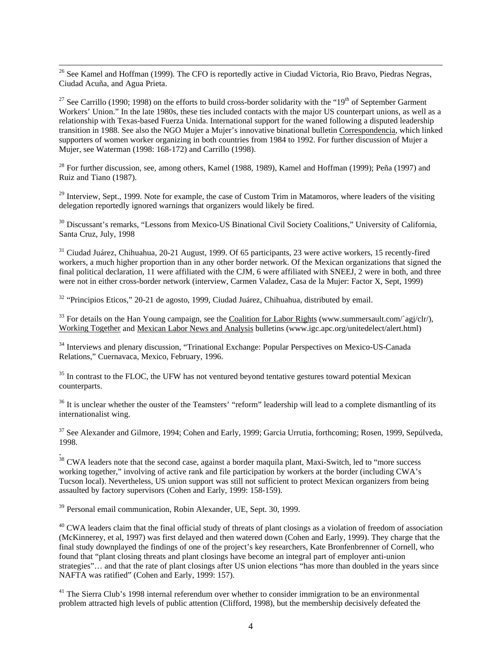$\overline{a}$ <sup>26</sup> See Kamel and Hoffman (1999). The CFO is reportedly active in Ciudad Victoria, Rio Bravo, Piedras Negras, Ciudad Acuña, and Agua Prieta.

<sup>27</sup> See Carrillo (1990; 1998) on the efforts to build cross-border solidarity with the "19<sup>th</sup> of September Garment" Workers' Union." In the late 1980s, these ties included contacts with the major US counterpart unions, as well as a relationship with Texas-based Fuerza Unida. International support for the waned following a disputed leadership transition in 1988. See also the NGO Mujer a Mujer's innovative binational bulletin Correspondencia, which linked supporters of women worker organizing in both countries from 1984 to 1992. For further discussion of Mujer a Mujer, see Waterman (1998: 168-172) and Carrillo (1998).

<sup>28</sup> For further discussion, see, among others, Kamel (1988, 1989), Kamel and Hoffman (1999); Peña (1997) and Ruiz and Tiano (1987).

 $29$  Interview, Sept., 1999. Note for example, the case of Custom Trim in Matamoros, where leaders of the visiting delegation reportedly ignored warnings that organizers would likely be fired.

<sup>30</sup> Discussant's remarks, "Lessons from Mexico-US Binational Civil Society Coalitions," University of California, Santa Cruz, July, 1998

<sup>31</sup> Ciudad Juárez, Chihuahua, 20-21 August, 1999. Of 65 participants, 23 were active workers, 15 recently-fired workers, a much higher proportion than in any other border network. Of the Mexican organizations that signed the final political declaration, 11 were affiliated with the CJM, 6 were affiliated with SNEEJ, 2 were in both, and three were not in either cross-border network (interview, Carmen Valadez, Casa de la Mujer: Factor X, Sept, 1999)

 $32$  "Principios Eticos," 20-21 de agosto, 1999, Ciudad Juárez, Chihuahua, distributed by email.

 $33$  For details on the Han Young campaign, see the Coalition for Labor Rights (www.summersault.com/`agj/clr/), Working Together and Mexican Labor News and Analysis bulletins (www.igc.apc.org/unitedelect/alert.html)

<sup>34</sup> Interviews and plenary discussion, "Trinational Exchange: Popular Perspectives on Mexico-US-Canada Relations," Cuernavaca, Mexico, February, 1996.

 $35$  In contrast to the FLOC, the UFW has not ventured beyond tentative gestures toward potential Mexican counterparts.

 $36$  It is unclear whether the ouster of the Teamsters' "reform" leadership will lead to a complete dismantling of its internationalist wing.

<sup>37</sup> See Alexander and Gilmore, 1994; Cohen and Early, 1999; Garcia Urrutia, forthcoming; Rosen, 1999, Sepúlveda, 1998.

 $38$  CWA leaders note that the second case, against a border maquila plant, Maxi-Switch, led to "more success" working together," involving of active rank and file participation by workers at the border (including CWA's Tucson local). Nevertheless, US union support was still not sufficient to protect Mexican organizers from being assaulted by factory supervisors (Cohen and Early, 1999: 158-159).

<sup>39</sup> Personal email communication, Robin Alexander, UE, Sept. 30, 1999.

.

 $40$  CWA leaders claim that the final official study of threats of plant closings as a violation of freedom of association (McKinnerey, et al, 1997) was first delayed and then watered down (Cohen and Early, 1999). They charge that the final study downplayed the findings of one of the project's key researchers, Kate Bronfenbrenner of Cornell, who found that "plant closing threats and plant closings have become an integral part of employer anti-union strategies"… and that the rate of plant closings after US union elections "has more than doubled in the years since NAFTA was ratified" (Cohen and Early, 1999: 157).

<sup>41</sup> The Sierra Club's 1998 internal referendum over whether to consider immigration to be an environmental problem attracted high levels of public attention (Clifford, 1998), but the membership decisively defeated the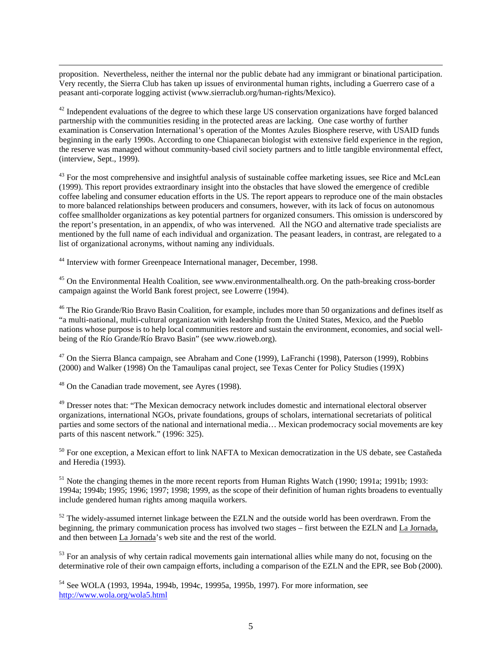$\overline{a}$ proposition. Nevertheless, neither the internal nor the public debate had any immigrant or binational participation. Very recently, the Sierra Club has taken up issues of environmental human rights, including a Guerrero case of a peasant anti-corporate logging activist (www.sierraclub.org/human-rights/Mexico).

 $42$  Independent evaluations of the degree to which these large US conservation organizations have forged balanced partnership with the communities residing in the protected areas are lacking. One case worthy of further examination is Conservation International's operation of the Montes Azules Biosphere reserve, with USAID funds beginning in the early 1990s. According to one Chiapanecan biologist with extensive field experience in the region, the reserve was managed without community-based civil society partners and to little tangible environmental effect, (interview, Sept., 1999).

<sup>43</sup> For the most comprehensive and insightful analysis of sustainable coffee marketing issues, see Rice and McLean (1999). This report provides extraordinary insight into the obstacles that have slowed the emergence of credible coffee labeling and consumer education efforts in the US. The report appears to reproduce one of the main obstacles to more balanced relationships between producers and consumers, however, with its lack of focus on autonomous coffee smallholder organizations as key potential partners for organized consumers. This omission is underscored by the report's presentation, in an appendix, of who was intervened. All the NGO and alternative trade specialists are mentioned by the full name of each individual and organization. The peasant leaders, in contrast, are relegated to a list of organizational acronyms, without naming any individuals.

<sup>44</sup> Interview with former Greenpeace International manager, December, 1998.

<sup>45</sup> On the Environmental Health Coalition, see www.environmentalhealth.org. On the path-breaking cross-border campaign against the World Bank forest project, see Lowerre (1994).

<sup>46</sup> The Rio Grande/Rio Bravo Basin Coalition, for example, includes more than 50 organizations and defines itself as "a multi-national, multi-cultural organization with leadership from the United States, Mexico, and the Pueblo nations whose purpose is to help local communities restore and sustain the environment, economies, and social wellbeing of the Río Grande/Río Bravo Basin" (see www.rioweb.org).

<sup>47</sup> On the Sierra Blanca campaign, see Abraham and Cone (1999), LaFranchi (1998), Paterson (1999), Robbins (2000) and Walker (1998) On the Tamaulipas canal project, see Texas Center for Policy Studies (199X)

<sup>48</sup> On the Canadian trade movement, see Ayres (1998).

<sup>49</sup> Dresser notes that: "The Mexican democracy network includes domestic and international electoral observer organizations, international NGOs, private foundations, groups of scholars, international secretariats of political parties and some sectors of the national and international media… Mexican prodemocracy social movements are key parts of this nascent network." (1996: 325).

<sup>50</sup> For one exception, a Mexican effort to link NAFTA to Mexican democratization in the US debate, see Castañeda and Heredia (1993).

<sup>51</sup> Note the changing themes in the more recent reports from Human Rights Watch (1990; 1991a; 1991b; 1993: 1994a; 1994b; 1995; 1996; 1997; 1998; 1999, as the scope of their definition of human rights broadens to eventually include gendered human rights among maquila workers.

 $52$  The widely-assumed internet linkage between the EZLN and the outside world has been overdrawn. From the beginning, the primary communication process has involved two stages – first between the EZLN and La Jornada, and then between La Jornada's web site and the rest of the world.

<sup>53</sup> For an analysis of why certain radical movements gain international allies while many do not, focusing on the determinative role of their own campaign efforts, including a comparison of the EZLN and the EPR, see Bob (2000).

<sup>54</sup> See WOLA (1993, 1994a, 1994b, 1994c, 19995a, 1995b, 1997). For more information, see http://www.wola.org/wola5.html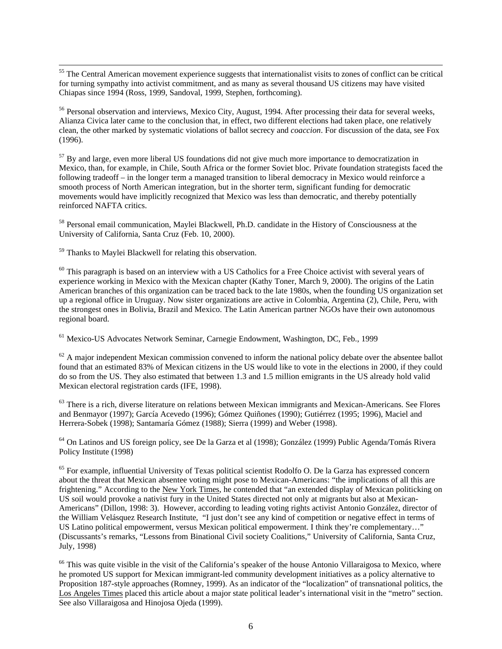$\overline{a}$ <sup>55</sup> The Central American movement experience suggests that internationalist visits to zones of conflict can be critical for turning sympathy into activist commitment, and as many as several thousand US citizens may have visited Chiapas since 1994 (Ross, 1999, Sandoval, 1999, Stephen, forthcoming).

<sup>56</sup> Personal observation and interviews, Mexico City, August, 1994. After processing their data for several weeks, Alianza Civica later came to the conclusion that, in effect, two different elections had taken place, one relatively clean, the other marked by systematic violations of ballot secrecy and *coaccion*. For discussion of the data, see Fox (1996).

<sup>57</sup> By and large, even more liberal US foundations did not give much more importance to democratization in Mexico, than, for example, in Chile, South Africa or the former Soviet bloc. Private foundation strategists faced the following tradeoff – in the longer term a managed transition to liberal democracy in Mexico would reinforce a smooth process of North American integration, but in the shorter term, significant funding for democratic movements would have implicitly recognized that Mexico was less than democratic, and thereby potentially reinforced NAFTA critics.

<sup>58</sup> Personal email communication, Maylei Blackwell, Ph.D. candidate in the History of Consciousness at the University of California, Santa Cruz (Feb. 10, 2000).

<sup>59</sup> Thanks to Maylei Blackwell for relating this observation.

 $60$  This paragraph is based on an interview with a US Catholics for a Free Choice activist with several years of experience working in Mexico with the Mexican chapter (Kathy Toner, March 9, 2000). The origins of the Latin American branches of this organization can be traced back to the late 1980s, when the founding US organization set up a regional office in Uruguay. Now sister organizations are active in Colombia, Argentina (2), Chile, Peru, with the strongest ones in Bolivia, Brazil and Mexico. The Latin American partner NGOs have their own autonomous regional board.

<sup>61</sup> Mexico-US Advocates Network Seminar, Carnegie Endowment, Washington, DC, Feb., 1999

 $62$  A major independent Mexican commission convened to inform the national policy debate over the absentee ballot found that an estimated 83% of Mexican citizens in the US would like to vote in the elections in 2000, if they could do so from the US. They also estimated that between 1.3 and 1.5 million emigrants in the US already hold valid Mexican electoral registration cards (IFE, 1998).

 $63$  There is a rich, diverse literature on relations between Mexican immigrants and Mexican-Americans. See Flores and Benmayor (1997); García Acevedo (1996); Gómez Quiñones (1990); Gutiérrez (1995; 1996), Maciel and Herrera-Sobek (1998); Santamaría Gómez (1988); Sierra (1999) and Weber (1998).

<sup>64</sup> On Latinos and US foreign policy, see De la Garza et al (1998); González (1999) Public Agenda/Tomás Rivera Policy Institute (1998)

<sup>65</sup> For example, influential University of Texas political scientist Rodolfo O. De la Garza has expressed concern about the threat that Mexican absentee voting might pose to Mexican-Americans: "the implications of all this are frightening." According to the New York Times, he contended that "an extended display of Mexican politicking on US soil would provoke a nativist fury in the United States directed not only at migrants but also at Mexican-Americans" (Dillon, 1998: 3). However, according to leading voting rights activist Antonio González, director of the William Velásquez Research Institute, "I just don't see any kind of competition or negative effect in terms of US Latino political empowerment, versus Mexican political empowerment. I think they're complementary…" (Discussants's remarks, "Lessons from Binational Civil society Coalitions," University of California, Santa Cruz, July, 1998)

<sup>66</sup> This was quite visible in the visit of the California's speaker of the house Antonio Villaraigosa to Mexico, where he promoted US support for Mexican immigrant-led community development initiatives as a policy alternative to Proposition 187-style approaches (Romney, 1999). As an indicator of the "localization" of transnational politics, the Los Angeles Times placed this article about a major state political leader's international visit in the "metro" section. See also Villaraigosa and Hinojosa Ojeda (1999).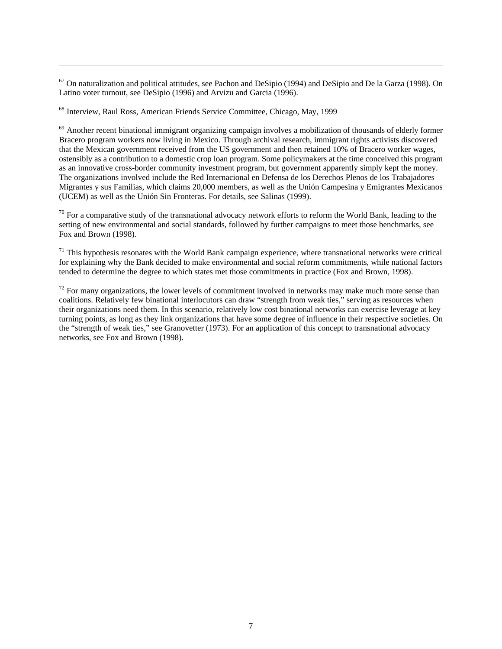$67$  On naturalization and political attitudes, see Pachon and DeSipio (1994) and DeSipio and De la Garza (1998). On Latino voter turnout, see DeSipio (1996) and Arvizu and Garcia (1996).

<sup>68</sup> Interview, Raul Ross, American Friends Service Committee, Chicago, May, 1999

 $\overline{a}$ 

<sup>69</sup> Another recent binational immigrant organizing campaign involves a mobilization of thousands of elderly former Bracero program workers now living in Mexico. Through archival research, immigrant rights activists discovered that the Mexican government received from the US government and then retained 10% of Bracero worker wages, ostensibly as a contribution to a domestic crop loan program. Some policymakers at the time conceived this program as an innovative cross-border community investment program, but government apparently simply kept the money. The organizations involved include the Red Internacional en Defensa de los Derechos Plenos de los Trabajadores Migrantes y sus Familias, which claims 20,000 members, as well as the Unión Campesina y Emigrantes Mexicanos (UCEM) as well as the Unión Sin Fronteras. For details, see Salinas (1999).

 $70$  For a comparative study of the transnational advocacy network efforts to reform the World Bank, leading to the setting of new environmental and social standards, followed by further campaigns to meet those benchmarks, see Fox and Brown (1998).

 $71$  This hypothesis resonates with the World Bank campaign experience, where transnational networks were critical for explaining why the Bank decided to make environmental and social reform commitments, while national factors tended to determine the degree to which states met those commitments in practice (Fox and Brown, 1998).

 $72$  For many organizations, the lower levels of commitment involved in networks may make much more sense than coalitions. Relatively few binational interlocutors can draw "strength from weak ties," serving as resources when their organizations need them. In this scenario, relatively low cost binational networks can exercise leverage at key turning points, as long as they link organizations that have some degree of influence in their respective societies. On the "strength of weak ties," see Granovetter (1973). For an application of this concept to transnational advocacy networks, see Fox and Brown (1998).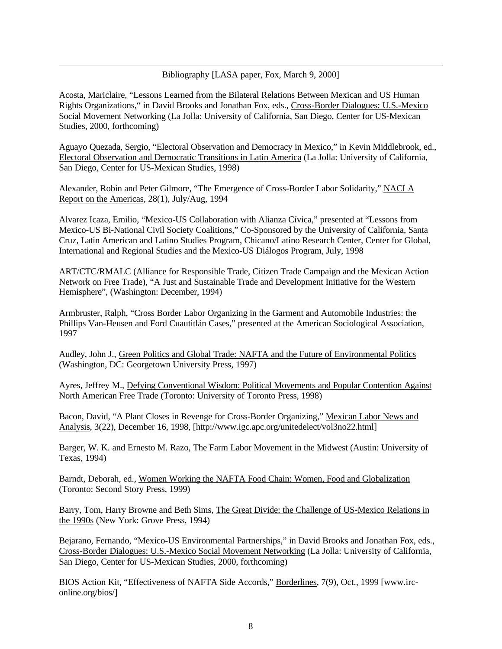## Bibliography [LASA paper, Fox, March 9, 2000]

Acosta, Mariclaire, "Lessons Learned from the Bilateral Relations Between Mexican and US Human Rights Organizations," in David Brooks and Jonathan Fox, eds., Cross-Border Dialogues: U.S.-Mexico Social Movement Networking (La Jolla: University of California, San Diego, Center for US-Mexican Studies, 2000, forthcoming)

 $\overline{a}$ 

Aguayo Quezada, Sergio, "Electoral Observation and Democracy in Mexico," in Kevin Middlebrook, ed., Electoral Observation and Democratic Transitions in Latin America (La Jolla: University of California, San Diego, Center for US-Mexican Studies, 1998)

Alexander, Robin and Peter Gilmore, "The Emergence of Cross-Border Labor Solidarity," NACLA Report on the Americas, 28(1), July/Aug, 1994

Alvarez Icaza, Emilio, "Mexico-US Collaboration with Alianza Cívica," presented at "Lessons from Mexico-US Bi-National Civil Society Coalitions," Co-Sponsored by the University of California, Santa Cruz, Latin American and Latino Studies Program, Chicano/Latino Research Center, Center for Global, International and Regional Studies and the Mexico-US Diálogos Program, July, 1998

ART/CTC/RMALC (Alliance for Responsible Trade, Citizen Trade Campaign and the Mexican Action Network on Free Trade), "A Just and Sustainable Trade and Development Initiative for the Western Hemisphere", (Washington: December, 1994)

Armbruster, Ralph, "Cross Border Labor Organizing in the Garment and Automobile Industries: the Phillips Van-Heusen and Ford Cuautitlán Cases," presented at the American Sociological Association, 1997

Audley, John J., Green Politics and Global Trade: NAFTA and the Future of Environmental Politics (Washington, DC: Georgetown University Press, 1997)

Ayres, Jeffrey M., Defying Conventional Wisdom: Political Movements and Popular Contention Against North American Free Trade (Toronto: University of Toronto Press, 1998)

Bacon, David, "A Plant Closes in Revenge for Cross-Border Organizing," Mexican Labor News and Analysis, 3(22), December 16, 1998, [http://www.igc.apc.org/unitedelect/vol3no22.html]

Barger, W. K. and Ernesto M. Razo, The Farm Labor Movement in the Midwest (Austin: University of Texas, 1994)

Barndt, Deborah, ed., Women Working the NAFTA Food Chain: Women, Food and Globalization (Toronto: Second Story Press, 1999)

Barry, Tom, Harry Browne and Beth Sims, The Great Divide: the Challenge of US-Mexico Relations in the 1990s (New York: Grove Press, 1994)

Bejarano, Fernando, "Mexico-US Environmental Partnerships," in David Brooks and Jonathan Fox, eds., Cross-Border Dialogues: U.S.-Mexico Social Movement Networking (La Jolla: University of California, San Diego, Center for US-Mexican Studies, 2000, forthcoming)

BIOS Action Kit, "Effectiveness of NAFTA Side Accords," Borderlines, 7(9), Oct., 1999 [www.irconline.org/bios/]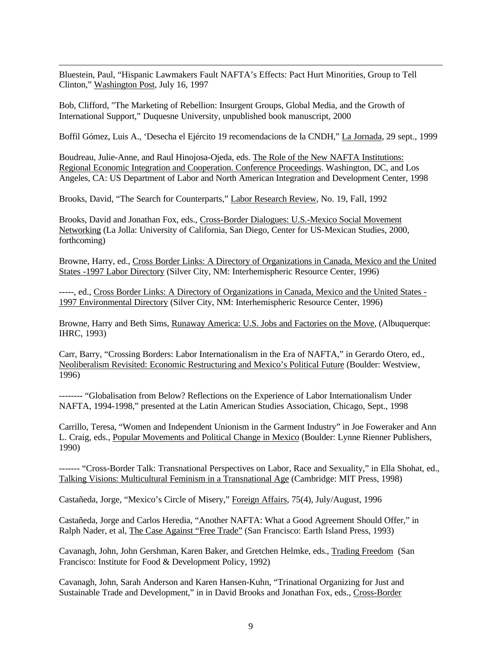$\overline{a}$ Bluestein, Paul, "Hispanic Lawmakers Fault NAFTA's Effects: Pact Hurt Minorities, Group to Tell Clinton," Washington Post, July 16, 1997

Bob, Clifford, "The Marketing of Rebellion: Insurgent Groups, Global Media, and the Growth of International Support," Duquesne University, unpublished book manuscript, 2000

Boffil Gómez, Luis A., 'Desecha el Ejército 19 recomendacions de la CNDH," La Jornada, 29 sept., 1999

Boudreau, Julie-Anne, and Raul Hinojosa-Ojeda, eds. The Role of the New NAFTA Institutions: Regional Economic Integration and Cooperation. Conference Proceedings. Washington, DC, and Los Angeles, CA: US Department of Labor and North American Integration and Development Center, 1998

Brooks, David, "The Search for Counterparts," Labor Research Review, No. 19, Fall, 1992

Brooks, David and Jonathan Fox, eds., Cross-Border Dialogues: U.S.-Mexico Social Movement Networking (La Jolla: University of California, San Diego, Center for US-Mexican Studies, 2000, forthcoming)

Browne, Harry, ed., Cross Border Links: A Directory of Organizations in Canada, Mexico and the United States -1997 Labor Directory (Silver City, NM: Interhemispheric Resource Center, 1996)

-----, ed., Cross Border Links: A Directory of Organizations in Canada, Mexico and the United States - 1997 Environmental Directory (Silver City, NM: Interhemispheric Resource Center, 1996)

Browne, Harry and Beth Sims, Runaway America: U.S. Jobs and Factories on the Move, (Albuquerque: IHRC, 1993)

Carr, Barry, "Crossing Borders: Labor Internationalism in the Era of NAFTA," in Gerardo Otero, ed., Neoliberalism Revisited: Economic Restructuring and Mexico's Political Future (Boulder: Westview, 1996)

-------- "Globalisation from Below? Reflections on the Experience of Labor Internationalism Under NAFTA, 1994-1998," presented at the Latin American Studies Association, Chicago, Sept., 1998

Carrillo, Teresa, "Women and Independent Unionism in the Garment Industry" in Joe Foweraker and Ann L. Craig, eds., Popular Movements and Political Change in Mexico (Boulder: Lynne Rienner Publishers, 1990)

------- "Cross-Border Talk: Transnational Perspectives on Labor, Race and Sexuality," in Ella Shohat, ed., Talking Visions: Multicultural Feminism in a Transnational Age (Cambridge: MIT Press, 1998)

Castañeda, Jorge, "Mexico's Circle of Misery," Foreign Affairs, 75(4), July/August, 1996

Castañeda, Jorge and Carlos Heredia, "Another NAFTA: What a Good Agreement Should Offer," in Ralph Nader, et al, The Case Against "Free Trade" (San Francisco: Earth Island Press, 1993)

Cavanagh, John, John Gershman, Karen Baker, and Gretchen Helmke, eds., Trading Freedom (San Francisco: Institute for Food & Development Policy, 1992)

Cavanagh, John, Sarah Anderson and Karen Hansen-Kuhn, "Trinational Organizing for Just and Sustainable Trade and Development," in in David Brooks and Jonathan Fox, eds., Cross-Border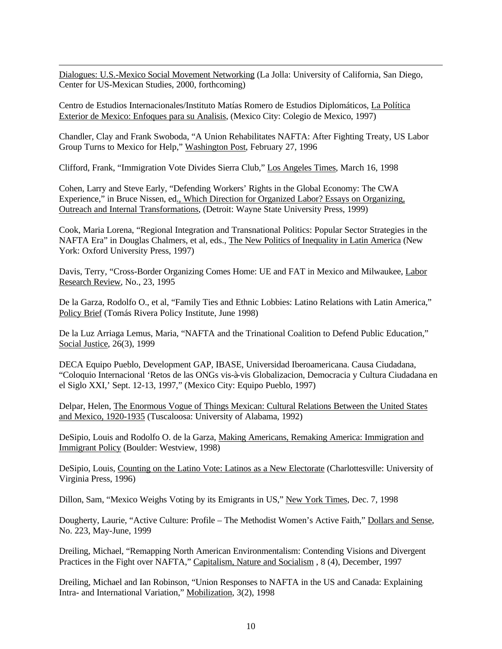$\overline{a}$ Dialogues: U.S.-Mexico Social Movement Networking (La Jolla: University of California, San Diego, Center for US-Mexican Studies, 2000, forthcoming)

Centro de Estudios Internacionales/Instituto Matías Romero de Estudios Diplomáticos, La Política Exterior de Mexico: Enfoques para su Analisis, (Mexico City: Colegio de Mexico, 1997)

Chandler, Clay and Frank Swoboda, "A Union Rehabilitates NAFTA: After Fighting Treaty, US Labor Group Turns to Mexico for Help," Washington Post, February 27, 1996

Clifford, Frank, "Immigration Vote Divides Sierra Club," Los Angeles Times, March 16, 1998

Cohen, Larry and Steve Early, "Defending Workers' Rights in the Global Economy: The CWA Experience," in Bruce Nissen, ed., Which Direction for Organized Labor? Essays on Organizing, Outreach and Internal Transformations, (Detroit: Wayne State University Press, 1999)

Cook, Maria Lorena, "Regional Integration and Transnational Politics: Popular Sector Strategies in the NAFTA Era" in Douglas Chalmers, et al, eds., The New Politics of Inequality in Latin America (New York: Oxford University Press, 1997)

Davis, Terry, "Cross-Border Organizing Comes Home: UE and FAT in Mexico and Milwaukee, Labor Research Review, No., 23, 1995

De la Garza, Rodolfo O., et al, "Family Ties and Ethnic Lobbies: Latino Relations with Latin America," Policy Brief (Tomás Rivera Policy Institute, June 1998)

De la Luz Arriaga Lemus, Maria, "NAFTA and the Trinational Coalition to Defend Public Education," Social Justice, 26(3), 1999

DECA Equipo Pueblo, Development GAP, IBASE, Universidad Iberoamericana. Causa Ciudadana, "Coloquio Internacional 'Retos de las ONGs vis-à-vis Globalizacion, Democracia y Cultura Ciudadana en el Siglo XXI,' Sept. 12-13, 1997," (Mexico City: Equipo Pueblo, 1997)

Delpar, Helen, The Enormous Vogue of Things Mexican: Cultural Relations Between the United States and Mexico, 1920-1935 (Tuscaloosa: University of Alabama, 1992)

DeSipio, Louis and Rodolfo O. de la Garza, Making Americans, Remaking America: Immigration and Immigrant Policy (Boulder: Westview, 1998)

DeSipio, Louis, Counting on the Latino Vote: Latinos as a New Electorate (Charlottesville: University of Virginia Press, 1996)

Dillon, Sam, "Mexico Weighs Voting by its Emigrants in US," New York Times, Dec. 7, 1998

Dougherty, Laurie, "Active Culture: Profile – The Methodist Women's Active Faith," Dollars and Sense, No. 223, May-June, 1999

Dreiling, Michael, "Remapping North American Environmentalism: Contending Visions and Divergent Practices in the Fight over NAFTA," Capitalism, Nature and Socialism , 8 (4), December, 1997

Dreiling, Michael and Ian Robinson, "Union Responses to NAFTA in the US and Canada: Explaining Intra- and International Variation," Mobilization, 3(2), 1998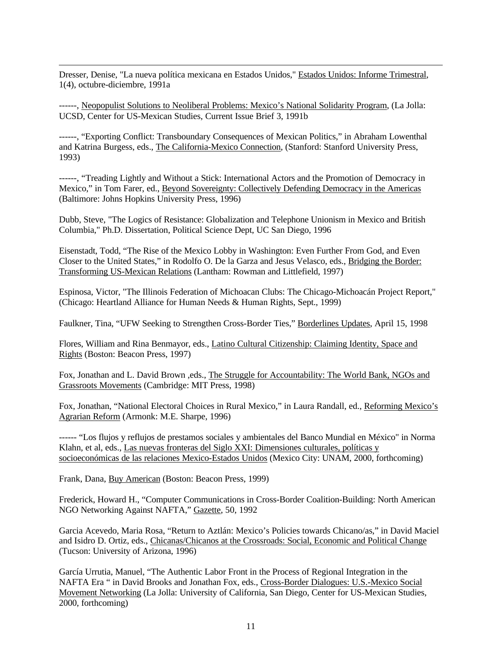$\overline{a}$ Dresser, Denise, "La nueva política mexicana en Estados Unidos," Estados Unidos: Informe Trimestral, 1(4), octubre-diciembre, 1991a

------, Neopopulist Solutions to Neoliberal Problems: Mexico's National Solidarity Program, (La Jolla: UCSD, Center for US-Mexican Studies, Current Issue Brief 3, 1991b

------, "Exporting Conflict: Transboundary Consequences of Mexican Politics," in Abraham Lowenthal and Katrina Burgess, eds., The California-Mexico Connection, (Stanford: Stanford University Press, 1993)

------, "Treading Lightly and Without a Stick: International Actors and the Promotion of Democracy in Mexico," in Tom Farer, ed., Beyond Sovereignty: Collectively Defending Democracy in the Americas (Baltimore: Johns Hopkins University Press, 1996)

Dubb, Steve, "The Logics of Resistance: Globalization and Telephone Unionism in Mexico and British Columbia," Ph.D. Dissertation, Political Science Dept, UC San Diego, 1996

Eisenstadt, Todd, "The Rise of the Mexico Lobby in Washington: Even Further From God, and Even Closer to the United States," in Rodolfo O. De la Garza and Jesus Velasco, eds., Bridging the Border: Transforming US-Mexican Relations (Lantham: Rowman and Littlefield, 1997)

Espinosa, Victor, "The Illinois Federation of Michoacan Clubs: The Chicago-Michoacán Project Report," (Chicago: Heartland Alliance for Human Needs & Human Rights, Sept., 1999)

Faulkner, Tina, "UFW Seeking to Strengthen Cross-Border Ties," Borderlines Updates, April 15, 1998

Flores, William and Rina Benmayor, eds., Latino Cultural Citizenship: Claiming Identity, Space and Rights (Boston: Beacon Press, 1997)

Fox, Jonathan and L. David Brown ,eds., The Struggle for Accountability: The World Bank, NGOs and Grassroots Movements (Cambridge: MIT Press, 1998)

Fox, Jonathan, "National Electoral Choices in Rural Mexico," in Laura Randall, ed., Reforming Mexico's Agrarian Reform (Armonk: M.E. Sharpe, 1996)

------ "Los flujos y reflujos de prestamos sociales y ambientales del Banco Mundial en México" in Norma Klahn, et al, eds., Las nuevas fronteras del Siglo XXI: Dimensiones culturales, políticas y socioeconómicas de las relaciones Mexico-Estados Unidos (Mexico City: UNAM, 2000, forthcoming)

Frank, Dana, Buy American (Boston: Beacon Press, 1999)

Frederick, Howard H., "Computer Communications in Cross-Border Coalition-Building: North American NGO Networking Against NAFTA," Gazette, 50, 1992

Garcia Acevedo, Maria Rosa, "Return to Aztlán: Mexico's Policies towards Chicano/as," in David Maciel and Isidro D. Ortiz, eds., Chicanas/Chicanos at the Crossroads: Social, Economic and Political Change (Tucson: University of Arizona, 1996)

García Urrutia, Manuel, "The Authentic Labor Front in the Process of Regional Integration in the NAFTA Era " in David Brooks and Jonathan Fox, eds., Cross-Border Dialogues: U.S.-Mexico Social Movement Networking (La Jolla: University of California, San Diego, Center for US-Mexican Studies, 2000, forthcoming)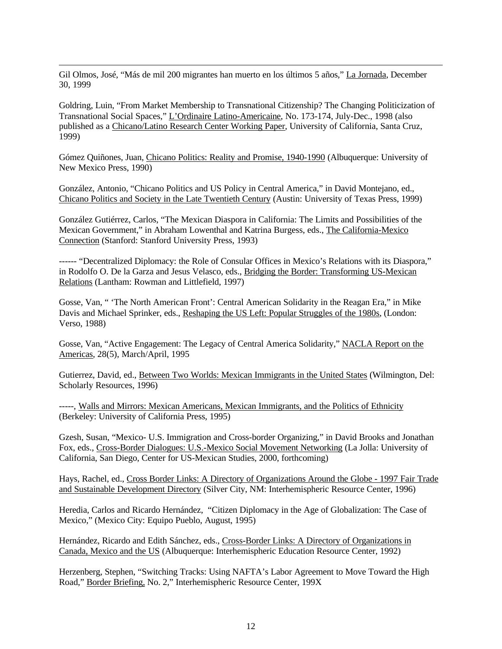$\overline{a}$ Gil Olmos, José, "Más de mil 200 migrantes han muerto en los últimos 5 años," La Jornada, December 30, 1999

Goldring, Luin, "From Market Membership to Transnational Citizenship? The Changing Politicization of Transnational Social Spaces," L'Ordinaire Latino-Americaine, No. 173-174, July-Dec., 1998 (also published as a Chicano/Latino Research Center Working Paper, University of California, Santa Cruz, 1999)

Gómez Quiñones, Juan, Chicano Politics: Reality and Promise, 1940-1990 (Albuquerque: University of New Mexico Press, 1990)

González, Antonio, "Chicano Politics and US Policy in Central America," in David Montejano, ed., Chicano Politics and Society in the Late Twentieth Century (Austin: University of Texas Press, 1999)

González Gutiérrez, Carlos, "The Mexican Diaspora in California: The Limits and Possibilities of the Mexican Government," in Abraham Lowenthal and Katrina Burgess, eds., The California-Mexico Connection (Stanford: Stanford University Press, 1993)

------ "Decentralized Diplomacy: the Role of Consular Offices in Mexico's Relations with its Diaspora," in Rodolfo O. De la Garza and Jesus Velasco, eds., Bridging the Border: Transforming US-Mexican Relations (Lantham: Rowman and Littlefield, 1997)

Gosse, Van, " 'The North American Front': Central American Solidarity in the Reagan Era," in Mike Davis and Michael Sprinker, eds., Reshaping the US Left: Popular Struggles of the 1980s, (London: Verso, 1988)

Gosse, Van, "Active Engagement: The Legacy of Central America Solidarity," NACLA Report on the Americas, 28(5), March/April, 1995

Gutierrez, David, ed., Between Two Worlds: Mexican Immigrants in the United States (Wilmington, Del: Scholarly Resources, 1996)

-----, Walls and Mirrors: Mexican Americans, Mexican Immigrants, and the Politics of Ethnicity (Berkeley: University of California Press, 1995)

Gzesh, Susan, "Mexico- U.S. Immigration and Cross-border Organizing," in David Brooks and Jonathan Fox, eds., Cross-Border Dialogues: U.S.-Mexico Social Movement Networking (La Jolla: University of California, San Diego, Center for US-Mexican Studies, 2000, forthcoming)

Hays, Rachel, ed., Cross Border Links: A Directory of Organizations Around the Globe - 1997 Fair Trade and Sustainable Development Directory (Silver City, NM: Interhemispheric Resource Center, 1996)

Heredia, Carlos and Ricardo Hernández, "Citizen Diplomacy in the Age of Globalization: The Case of Mexico," (Mexico City: Equipo Pueblo, August, 1995)

Hernández, Ricardo and Edith Sánchez, eds., Cross-Border Links: A Directory of Organizations in Canada, Mexico and the US (Albuquerque: Interhemispheric Education Resource Center, 1992)

Herzenberg, Stephen, "Switching Tracks: Using NAFTA's Labor Agreement to Move Toward the High Road," Border Briefing, No. 2," Interhemispheric Resource Center, 199X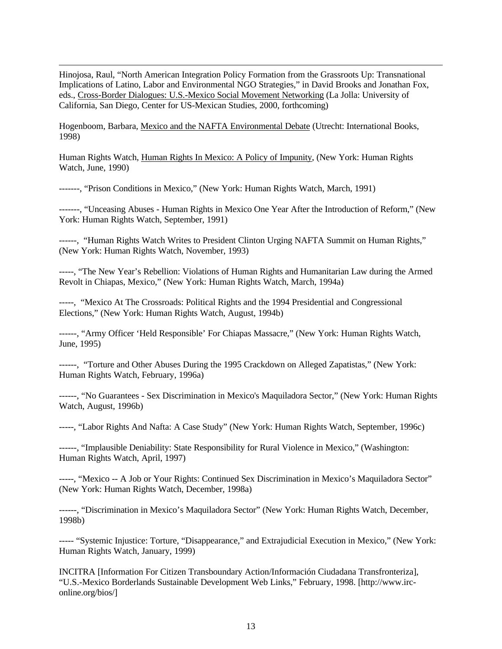$\overline{a}$ Hinojosa, Raul, "North American Integration Policy Formation from the Grassroots Up: Transnational Implications of Latino, Labor and Environmental NGO Strategies," in David Brooks and Jonathan Fox, eds., Cross-Border Dialogues: U.S.-Mexico Social Movement Networking (La Jolla: University of California, San Diego, Center for US-Mexican Studies, 2000, forthcoming)

Hogenboom, Barbara, Mexico and the NAFTA Environmental Debate (Utrecht: International Books, 1998)

Human Rights Watch, Human Rights In Mexico: A Policy of Impunity, (New York: Human Rights Watch, June, 1990)

-------, "Prison Conditions in Mexico," (New York: Human Rights Watch, March, 1991)

-------, "Unceasing Abuses - Human Rights in Mexico One Year After the Introduction of Reform," (New York: Human Rights Watch, September, 1991)

------, "Human Rights Watch Writes to President Clinton Urging NAFTA Summit on Human Rights," (New York: Human Rights Watch, November, 1993)

-----, "The New Year's Rebellion: Violations of Human Rights and Humanitarian Law during the Armed Revolt in Chiapas, Mexico," (New York: Human Rights Watch, March, 1994a)

-----, "Mexico At The Crossroads: Political Rights and the 1994 Presidential and Congressional Elections," (New York: Human Rights Watch, August, 1994b)

------, "Army Officer 'Held Responsible' For Chiapas Massacre," (New York: Human Rights Watch, June, 1995)

------, "Torture and Other Abuses During the 1995 Crackdown on Alleged Zapatistas," (New York: Human Rights Watch, February, 1996a)

------, "No Guarantees - Sex Discrimination in Mexico's Maquiladora Sector," (New York: Human Rights Watch, August, 1996b)

-----, "Labor Rights And Nafta: A Case Study" (New York: Human Rights Watch, September, 1996c)

------, "Implausible Deniability: State Responsibility for Rural Violence in Mexico," (Washington: Human Rights Watch, April, 1997)

-----, "Mexico -- A Job or Your Rights: Continued Sex Discrimination in Mexico's Maquiladora Sector" (New York: Human Rights Watch, December, 1998a)

------, "Discrimination in Mexico's Maquiladora Sector" (New York: Human Rights Watch, December, 1998b)

----- "Systemic Injustice: Torture, "Disappearance," and Extrajudicial Execution in Mexico," (New York: Human Rights Watch, January, 1999)

INCITRA [Information For Citizen Transboundary Action/Información Ciudadana Transfronteriza], "U.S.-Mexico Borderlands Sustainable Development Web Links," February, 1998. [http://www.irconline.org/bios/]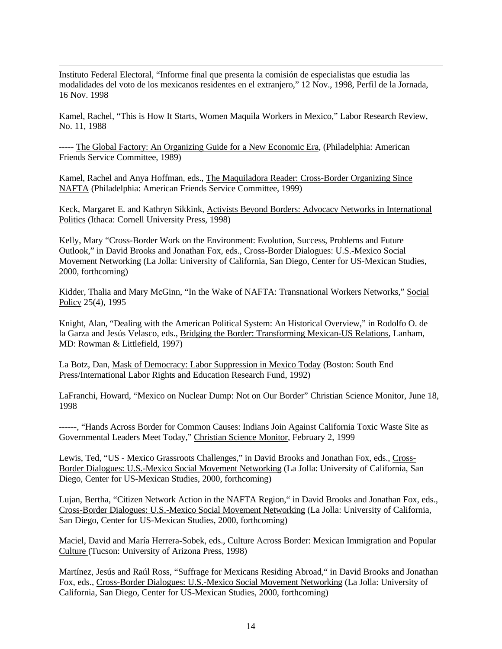Instituto Federal Electoral, "Informe final que presenta la comisión de especialistas que estudia las modalidades del voto de los mexicanos residentes en el extranjero," 12 Nov., 1998, Perfil de la Jornada, 16 Nov. 1998

 $\overline{a}$ 

Kamel, Rachel, "This is How It Starts, Women Maquila Workers in Mexico," Labor Research Review, No. 11, 1988

----- The Global Factory: An Organizing Guide for a New Economic Era, (Philadelphia: American Friends Service Committee, 1989)

Kamel, Rachel and Anya Hoffman, eds., The Maquiladora Reader: Cross-Border Organizing Since NAFTA (Philadelphia: American Friends Service Committee, 1999)

Keck, Margaret E. and Kathryn Sikkink, Activists Beyond Borders: Advocacy Networks in International Politics (Ithaca: Cornell University Press, 1998)

Kelly, Mary "Cross-Border Work on the Environment: Evolution, Success, Problems and Future Outlook," in David Brooks and Jonathan Fox, eds., Cross-Border Dialogues: U.S.-Mexico Social Movement Networking (La Jolla: University of California, San Diego, Center for US-Mexican Studies, 2000, forthcoming)

Kidder, Thalia and Mary McGinn, "In the Wake of NAFTA: Transnational Workers Networks," Social Policy 25(4), 1995

Knight, Alan, "Dealing with the American Political System: An Historical Overview," in Rodolfo O. de la Garza and Jesús Velasco, eds., Bridging the Border: Transforming Mexican-US Relations, Lanham, MD: Rowman & Littlefield, 1997)

La Botz, Dan, Mask of Democracy: Labor Suppression in Mexico Today (Boston: South End Press/International Labor Rights and Education Research Fund, 1992)

LaFranchi, Howard, "Mexico on Nuclear Dump: Not on Our Border" Christian Science Monitor, June 18, 1998

------, "Hands Across Border for Common Causes: Indians Join Against California Toxic Waste Site as Governmental Leaders Meet Today," Christian Science Monitor, February 2, 1999

Lewis, Ted, "US - Mexico Grassroots Challenges," in David Brooks and Jonathan Fox, eds., Cross-Border Dialogues: U.S.-Mexico Social Movement Networking (La Jolla: University of California, San Diego, Center for US-Mexican Studies, 2000, forthcoming)

Lujan, Bertha, "Citizen Network Action in the NAFTA Region," in David Brooks and Jonathan Fox, eds., Cross-Border Dialogues: U.S.-Mexico Social Movement Networking (La Jolla: University of California, San Diego, Center for US-Mexican Studies, 2000, forthcoming)

Maciel, David and María Herrera-Sobek, eds., Culture Across Border: Mexican Immigration and Popular Culture (Tucson: University of Arizona Press, 1998)

Martínez, Jesús and Raúl Ross, "Suffrage for Mexicans Residing Abroad," in David Brooks and Jonathan Fox, eds., Cross-Border Dialogues: U.S.-Mexico Social Movement Networking (La Jolla: University of California, San Diego, Center for US-Mexican Studies, 2000, forthcoming)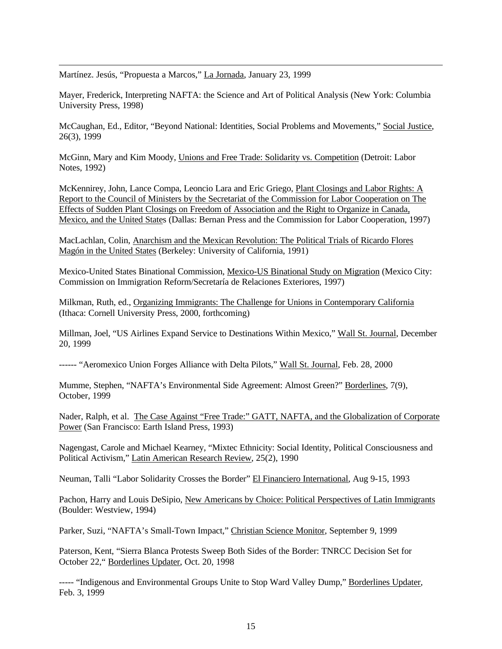Martínez. Jesús, "Propuesta a Marcos," La Jornada, January 23, 1999

 $\overline{a}$ 

Mayer, Frederick, Interpreting NAFTA: the Science and Art of Political Analysis (New York: Columbia University Press, 1998)

McCaughan, Ed., Editor, "Beyond National: Identities, Social Problems and Movements," Social Justice, 26(3), 1999

McGinn, Mary and Kim Moody, Unions and Free Trade: Solidarity vs. Competition (Detroit: Labor Notes, 1992)

McKennirey, John, Lance Compa, Leoncio Lara and Eric Griego, Plant Closings and Labor Rights: A Report to the Council of Ministers by the Secretariat of the Commission for Labor Cooperation on The Effects of Sudden Plant Closings on Freedom of Association and the Right to Organize in Canada, Mexico, and the United States (Dallas: Bernan Press and the Commission for Labor Cooperation, 1997)

MacLachlan, Colin, Anarchism and the Mexican Revolution: The Political Trials of Ricardo Flores Magón in the United States (Berkeley: University of California, 1991)

Mexico-United States Binational Commission, Mexico-US Binational Study on Migration (Mexico City: Commission on Immigration Reform/Secretaría de Relaciones Exteriores, 1997)

Milkman, Ruth, ed., Organizing Immigrants: The Challenge for Unions in Contemporary California (Ithaca: Cornell University Press, 2000, forthcoming)

Millman, Joel, "US Airlines Expand Service to Destinations Within Mexico," Wall St. Journal, December 20, 1999

------ "Aeromexico Union Forges Alliance with Delta Pilots," Wall St. Journal, Feb. 28, 2000

Mumme, Stephen, "NAFTA's Environmental Side Agreement: Almost Green?" Borderlines, 7(9), October, 1999

Nader, Ralph, et al. The Case Against "Free Trade:" GATT, NAFTA, and the Globalization of Corporate Power (San Francisco: Earth Island Press, 1993)

Nagengast, Carole and Michael Kearney, "Mixtec Ethnicity: Social Identity, Political Consciousness and Political Activism," Latin American Research Review, 25(2), 1990

Neuman, Talli "Labor Solidarity Crosses the Border" El Financiero International, Aug 9-15, 1993

Pachon, Harry and Louis DeSipio, New Americans by Choice: Political Perspectives of Latin Immigrants (Boulder: Westview, 1994)

Parker, Suzi, "NAFTA's Small-Town Impact," Christian Science Monitor, September 9, 1999

Paterson, Kent, "Sierra Blanca Protests Sweep Both Sides of the Border: TNRCC Decision Set for October 22," Borderlines Updater, Oct. 20, 1998

----- "Indigenous and Environmental Groups Unite to Stop Ward Valley Dump," Borderlines Updater, Feb. 3, 1999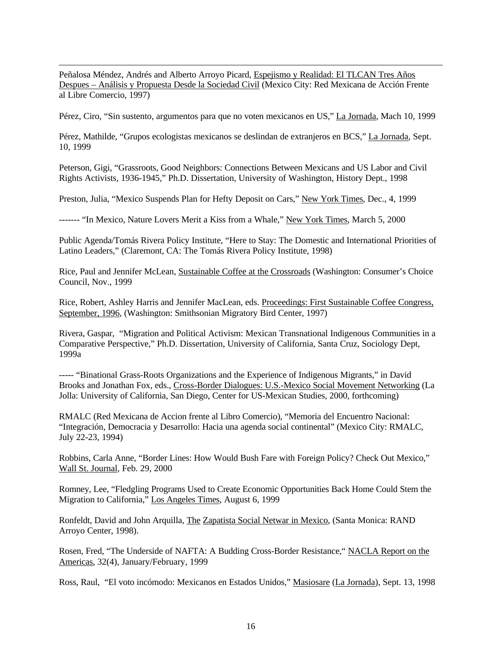$\overline{a}$ Peñalosa Méndez, Andrés and Alberto Arroyo Picard, Espejismo y Realidad: El TLCAN Tres Años Despues – Análisis y Propuesta Desde la Sociedad Civil (Mexico City: Red Mexicana de Acción Frente al Libre Comercio, 1997)

Pérez, Ciro, "Sin sustento, argumentos para que no voten mexicanos en US," La Jornada, Mach 10, 1999

Pérez, Mathilde, "Grupos ecologistas mexicanos se deslindan de extranjeros en BCS," La Jornada, Sept. 10, 1999

Peterson, Gigi, "Grassroots, Good Neighbors: Connections Between Mexicans and US Labor and Civil Rights Activists, 1936-1945," Ph.D. Dissertation, University of Washington, History Dept., 1998

Preston, Julia, "Mexico Suspends Plan for Hefty Deposit on Cars," New York Times, Dec., 4, 1999

------- "In Mexico, Nature Lovers Merit a Kiss from a Whale," New York Times, March 5, 2000

Public Agenda/Tomás Rivera Policy Institute, "Here to Stay: The Domestic and International Priorities of Latino Leaders," (Claremont, CA: The Tomás Rivera Policy Institute, 1998)

Rice, Paul and Jennifer McLean, Sustainable Coffee at the Crossroads (Washington: Consumer's Choice Council, Nov., 1999

Rice, Robert, Ashley Harris and Jennifer MacLean, eds. Proceedings: First Sustainable Coffee Congress, September, 1996, (Washington: Smithsonian Migratory Bird Center, 1997)

Rivera, Gaspar, "Migration and Political Activism: Mexican Transnational Indigenous Communities in a Comparative Perspective," Ph.D. Dissertation, University of California, Santa Cruz, Sociology Dept, 1999a

----- "Binational Grass-Roots Organizations and the Experience of Indigenous Migrants," in David Brooks and Jonathan Fox, eds., Cross-Border Dialogues: U.S.-Mexico Social Movement Networking (La Jolla: University of California, San Diego, Center for US-Mexican Studies, 2000, forthcoming)

RMALC (Red Mexicana de Accion frente al Libro Comercio), "Memoria del Encuentro Nacional: "Integración, Democracia y Desarrollo: Hacia una agenda social continental" (Mexico City: RMALC, July 22-23, 1994)

Robbins, Carla Anne, "Border Lines: How Would Bush Fare with Foreign Policy? Check Out Mexico," Wall St. Journal, Feb. 29, 2000

Romney, Lee, "Fledgling Programs Used to Create Economic Opportunities Back Home Could Stem the Migration to California," Los Angeles Times, August 6, 1999

Ronfeldt, David and John Arquilla, The Zapatista Social Netwar in Mexico, (Santa Monica: RAND Arroyo Center, 1998).

Rosen, Fred, "The Underside of NAFTA: A Budding Cross-Border Resistance," NACLA Report on the Americas, 32(4), January/February, 1999

Ross, Raul, "El voto incómodo: Mexicanos en Estados Unidos," Masiosare (La Jornada), Sept. 13, 1998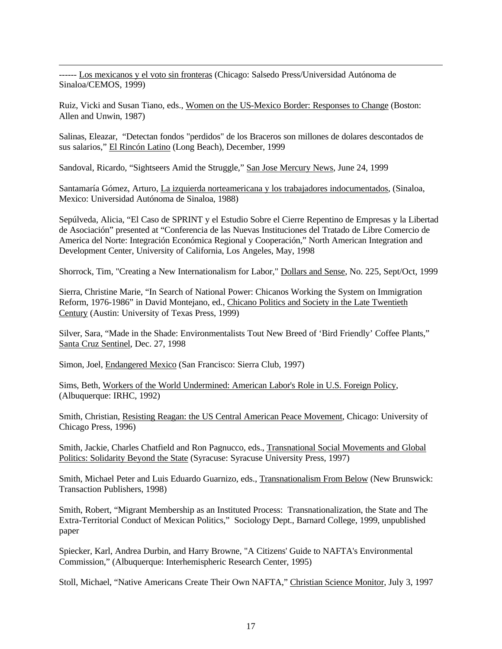$\overline{a}$ ------ Los mexicanos y el voto sin fronteras (Chicago: Salsedo Press/Universidad Autónoma de Sinaloa/CEMOS, 1999)

Ruiz, Vicki and Susan Tiano, eds., Women on the US-Mexico Border: Responses to Change (Boston: Allen and Unwin, 1987)

Salinas, Eleazar, "Detectan fondos "perdidos" de los Braceros son millones de dolares descontados de sus salarios," El Rincón Latino (Long Beach), December, 1999

Sandoval, Ricardo, "Sightseers Amid the Struggle," San Jose Mercury News, June 24, 1999

Santamaría Gómez, Arturo, La izquierda norteamericana y los trabajadores indocumentados, (Sinaloa, Mexico: Universidad Autónoma de Sinaloa, 1988)

Sepúlveda, Alicia, "El Caso de SPRINT y el Estudio Sobre el Cierre Repentino de Empresas y la Libertad de Asociación" presented at "Conferencia de las Nuevas Instituciones del Tratado de Libre Comercio de America del Norte: Integración Económica Regional y Cooperación," North American Integration and Development Center, University of California, Los Angeles, May, 1998

Shorrock, Tim, "Creating a New Internationalism for Labor," Dollars and Sense, No. 225, Sept/Oct, 1999

Sierra, Christine Marie, "In Search of National Power: Chicanos Working the System on Immigration Reform, 1976-1986" in David Montejano, ed., Chicano Politics and Society in the Late Twentieth Century (Austin: University of Texas Press, 1999)

Silver, Sara, "Made in the Shade: Environmentalists Tout New Breed of 'Bird Friendly' Coffee Plants," Santa Cruz Sentinel, Dec. 27, 1998

Simon, Joel, Endangered Mexico (San Francisco: Sierra Club, 1997)

Sims, Beth, Workers of the World Undermined: American Labor's Role in U.S. Foreign Policy, (Albuquerque: IRHC, 1992)

Smith, Christian, Resisting Reagan: the US Central American Peace Movement, Chicago: University of Chicago Press, 1996)

Smith, Jackie, Charles Chatfield and Ron Pagnucco, eds., Transnational Social Movements and Global Politics: Solidarity Beyond the State (Syracuse: Syracuse University Press, 1997)

Smith, Michael Peter and Luis Eduardo Guarnizo, eds., Transnationalism From Below (New Brunswick: Transaction Publishers, 1998)

Smith, Robert, "Migrant Membership as an Instituted Process: Transnationalization, the State and The Extra-Territorial Conduct of Mexican Politics," Sociology Dept., Barnard College, 1999, unpublished paper

Spiecker, Karl, Andrea Durbin, and Harry Browne, "A Citizens' Guide to NAFTA's Environmental Commission," (Albuquerque: Interhemispheric Research Center, 1995)

Stoll, Michael, "Native Americans Create Their Own NAFTA," Christian Science Monitor, July 3, 1997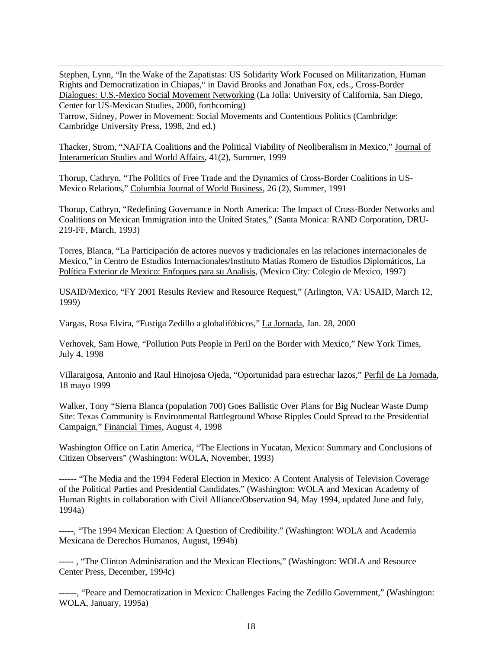$\overline{a}$ Stephen, Lynn, "In the Wake of the Zapatistas: US Solidarity Work Focused on Militarization, Human Rights and Democratization in Chiapas," in David Brooks and Jonathan Fox, eds., Cross-Border Dialogues: U.S.-Mexico Social Movement Networking (La Jolla: University of California, San Diego, Center for US-Mexican Studies, 2000, forthcoming)

Tarrow, Sidney, Power in Movement: Social Movements and Contentious Politics (Cambridge: Cambridge University Press, 1998, 2nd ed.)

Thacker, Strom, "NAFTA Coalitions and the Political Viability of Neoliberalism in Mexico," Journal of Interamerican Studies and World Affairs, 41(2), Summer, 1999

Thorup, Cathryn, "The Politics of Free Trade and the Dynamics of Cross-Border Coalitions in US-Mexico Relations," Columbia Journal of World Business, 26 (2), Summer, 1991

Thorup, Cathryn, "Redefining Governance in North America: The Impact of Cross-Border Networks and Coalitions on Mexican Immigration into the United States," (Santa Monica: RAND Corporation, DRU-219-FF, March, 1993)

Torres, Blanca, "La Participación de actores nuevos y tradicionales en las relaciones internacionales de Mexico," in Centro de Estudios Internacionales/Instituto Matias Romero de Estudios Diplomáticos, La Política Exterior de Mexico: Enfoques para su Analisis, (Mexico City: Colegio de Mexico, 1997)

USAID/Mexico, "FY 2001 Results Review and Resource Request," (Arlington, VA: USAID, March 12, 1999)

Vargas, Rosa Elvira, "Fustiga Zedillo a globalifóbicos," La Jornada, Jan. 28, 2000

Verhovek, Sam Howe, "Pollution Puts People in Peril on the Border with Mexico," New York Times, July 4, 1998

Villaraigosa, Antonio and Raul Hinojosa Ojeda, "Oportunidad para estrechar lazos," Perfil de La Jornada, 18 mayo 1999

Walker, Tony "Sierra Blanca (population 700) Goes Ballistic Over Plans for Big Nuclear Waste Dump Site: Texas Community is Environmental Battleground Whose Ripples Could Spread to the Presidential Campaign," Financial Times, August 4, 1998

Washington Office on Latin America, "The Elections in Yucatan, Mexico: Summary and Conclusions of Citizen Observers" (Washington: WOLA, November, 1993)

------ "The Media and the 1994 Federal Election in Mexico: A Content Analysis of Television Coverage of the Political Parties and Presidential Candidates." (Washington: WOLA and Mexican Academy of Human Rights in collaboration with Civil Alliance/Observation 94, May 1994, updated June and July, 1994a)

-----, "The 1994 Mexican Election: A Question of Credibility." (Washington: WOLA and Academia Mexicana de Derechos Humanos, August, 1994b)

----- , "The Clinton Administration and the Mexican Elections," (Washington: WOLA and Resource Center Press, December, 1994c)

------, "Peace and Democratization in Mexico: Challenges Facing the Zedillo Government," (Washington: WOLA, January, 1995a)